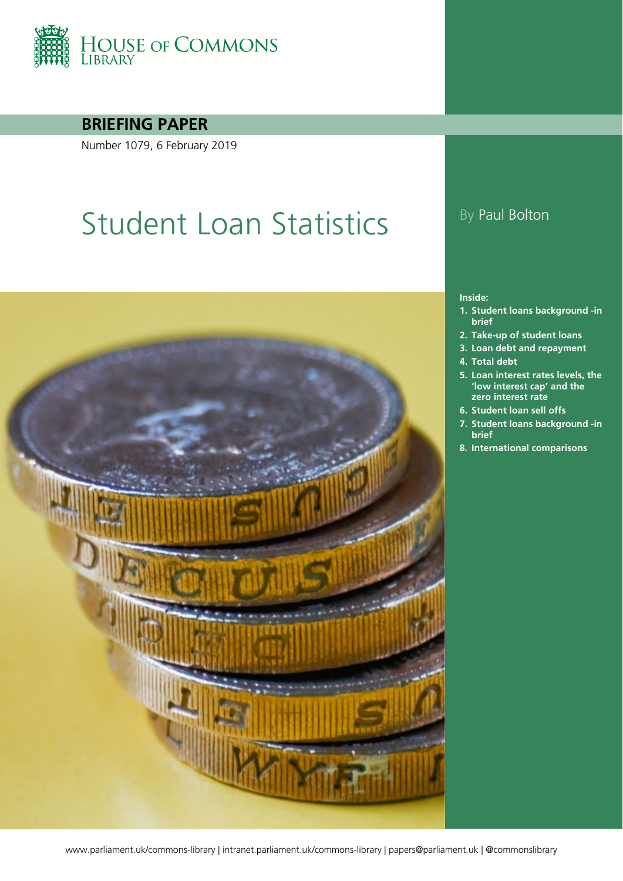

### **BRIEFING PAPER**

Number 1079, 6 February 2019

# Student Loan Statistics By Paul Bolton



#### **Inside:**

- **1. [Student loans background -in](#page-5-0)  [brief](#page-5-0)**
- **2. [Take-up of student loans](#page-8-0)**
- **3. [Loan debt and repayment](#page-13-0)**
- **4. [Total debt](#page-13-1)**
- **5. [Loan interest rates levels, the](#page-17-0)  ['low interest cap' and the](#page-17-0)  [zero interest rate](#page-17-0)**
- **6. [Student loan sell offs](#page-19-0)**
- **7. [Student loans background -in](#page-23-0)  [brief](#page-23-0)**
- **8. [International comparisons](#page-31-0)**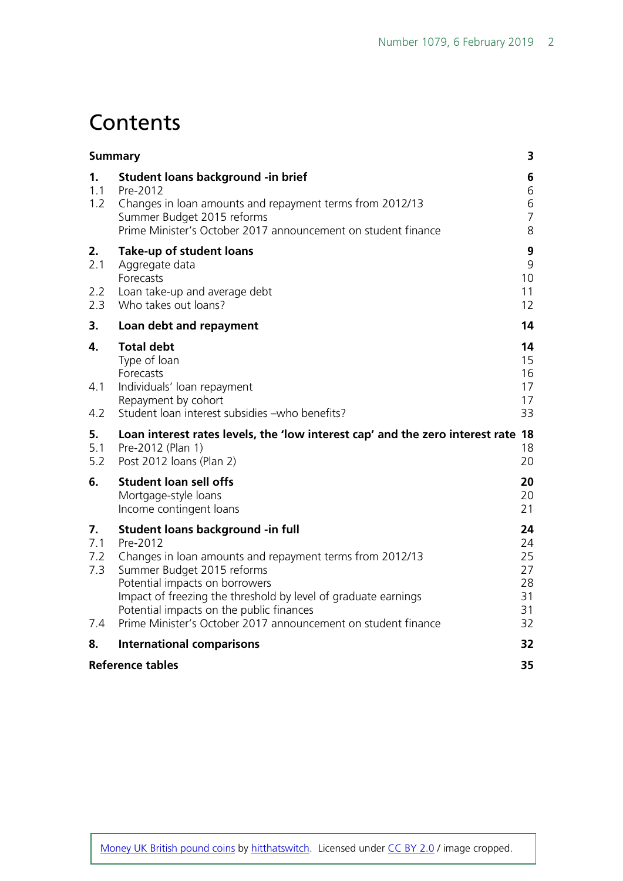## **Contents**

|                                | <b>Summary</b>                                                                                                                                                                                                                                                                                                                                           | 3                                            |
|--------------------------------|----------------------------------------------------------------------------------------------------------------------------------------------------------------------------------------------------------------------------------------------------------------------------------------------------------------------------------------------------------|----------------------------------------------|
| 1.<br>1.1<br>1.2               | Student loans background - in brief<br>Pre-2012<br>Changes in loan amounts and repayment terms from 2012/13<br>Summer Budget 2015 reforms<br>Prime Minister's October 2017 announcement on student finance                                                                                                                                               | 6<br>6<br>6<br>$\overline{7}$<br>8           |
| 2.<br>2.1<br>2.2<br>2.3        | Take-up of student loans<br>Aggregate data<br>Forecasts<br>Loan take-up and average debt<br>Who takes out loans?                                                                                                                                                                                                                                         | 9<br>9<br>10<br>11<br>12                     |
| 3.                             | Loan debt and repayment                                                                                                                                                                                                                                                                                                                                  | 14                                           |
| 4.<br>4.1<br>4.2               | <b>Total debt</b><br>Type of loan<br>Forecasts<br>Individuals' loan repayment<br>Repayment by cohort<br>Student loan interest subsidies - who benefits?                                                                                                                                                                                                  | 14<br>15<br>16<br>17<br>17<br>33             |
| 5.<br>5.1<br>5.2               | Loan interest rates levels, the 'low interest cap' and the zero interest rate<br>Pre-2012 (Plan 1)<br>Post 2012 Ioans (Plan 2)                                                                                                                                                                                                                           | 18<br>18<br>20                               |
| 6.                             | <b>Student loan sell offs</b><br>Mortgage-style loans<br>Income contingent loans                                                                                                                                                                                                                                                                         | 20<br>20<br>21                               |
| 7.<br>7.1<br>7.2<br>7.3<br>7.4 | Student loans background -in full<br>Pre-2012<br>Changes in loan amounts and repayment terms from 2012/13<br>Summer Budget 2015 reforms<br>Potential impacts on borrowers<br>Impact of freezing the threshold by level of graduate earnings<br>Potential impacts on the public finances<br>Prime Minister's October 2017 announcement on student finance | 24<br>24<br>25<br>27<br>28<br>31<br>31<br>32 |
| 8.                             | <b>International comparisons</b>                                                                                                                                                                                                                                                                                                                         | 32                                           |
|                                | <b>Reference tables</b>                                                                                                                                                                                                                                                                                                                                  | 35                                           |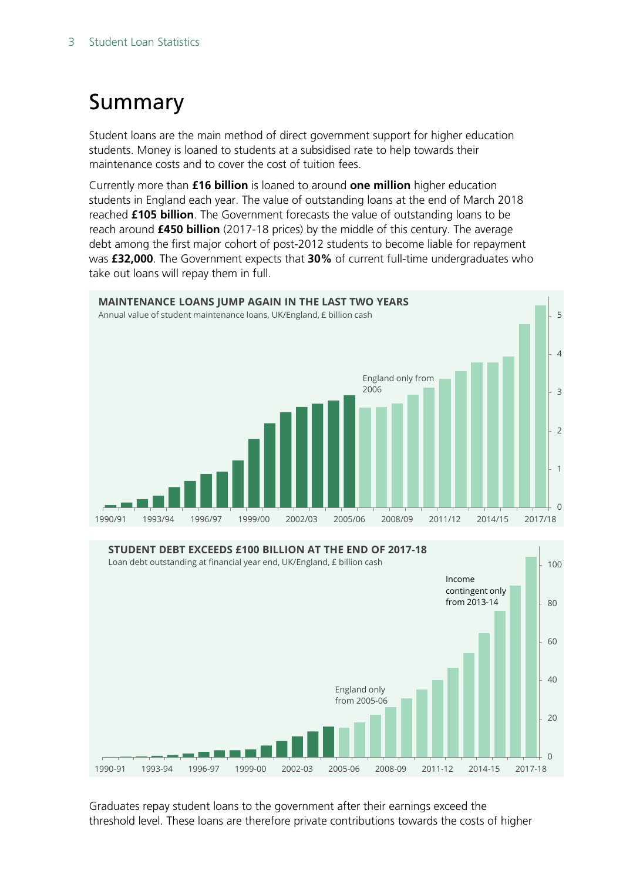# <span id="page-2-0"></span>Summary

Student loans are the main method of direct government support for higher education students. Money is loaned to students at a subsidised rate to help towards their maintenance costs and to cover the cost of tuition fees.

Currently more than **£16 billion** is loaned to around **one million** higher education students in England each year. The value of outstanding loans at the end of March 2018 reached **£105 billion**. The Government forecasts the value of outstanding loans to be reach around **£450 billion** (2017-18 prices) by the middle of this century. The average debt among the first major cohort of post-2012 students to become liable for repayment was **£32,000**. The Government expects that **30%** of current full-time undergraduates who take out loans will repay them in full.





Graduates repay student loans to the government after their earnings exceed the threshold level. These loans are therefore private contributions towards the costs of higher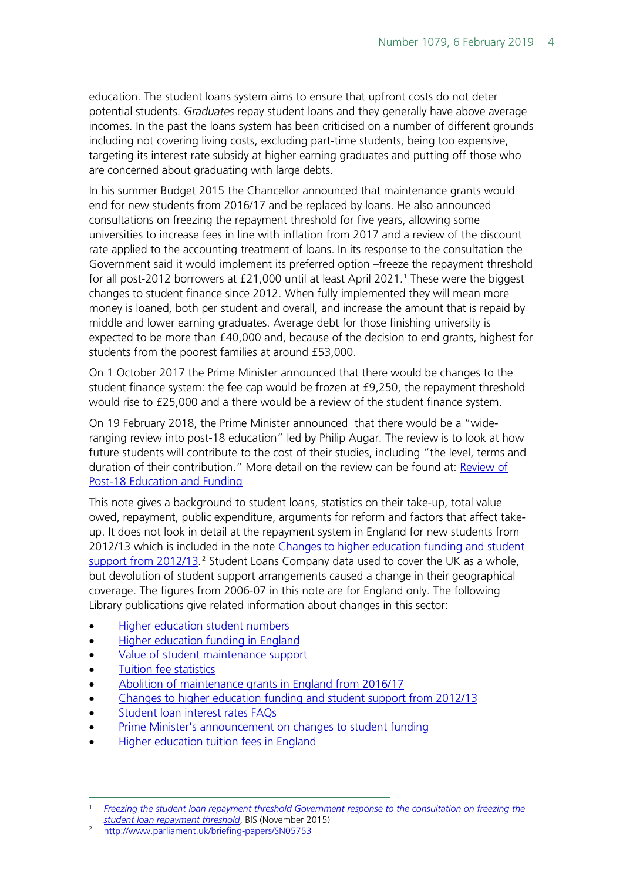education. The student loans system aims to ensure that upfront costs do not deter potential students. *Graduates* repay student loans and they generally have above average incomes. In the past the loans system has been criticised on a number of different grounds including not covering living costs, excluding part-time students, being too expensive, targeting its interest rate subsidy at higher earning graduates and putting off those who are concerned about graduating with large debts.

In his summer Budget 2015 the Chancellor announced that maintenance grants would end for new students from 2016/17 and be replaced by loans. He also announced consultations on freezing the repayment threshold for five years, allowing some universities to increase fees in line with inflation from 2017 and a review of the discount rate applied to the accounting treatment of loans. In its response to the consultation the Government said it would implement its preferred option –freeze the repayment threshold for all post-20[1](#page-3-0)2 borrowers at £21,000 until at least April 2021.<sup>1</sup> These were the biggest changes to student finance since 2012. When fully implemented they will mean more money is loaned, both per student and overall, and increase the amount that is repaid by middle and lower earning graduates. Average debt for those finishing university is expected to be more than £40,000 and, because of the decision to end grants, highest for students from the poorest families at around £53,000.

On 1 October 2017 the Prime Minister announced that there would be changes to the student finance system: the fee cap would be frozen at £9,250, the repayment threshold would rise to £25,000 and a there would be a review of the student finance system.

On 19 February 2018, the Prime Minister announced that there would be a "wideranging review into post-18 education" led by Philip Augar. The review is to look at how future students will contribute to the cost of their studies, including "the level, terms and duration of their contribution." More detail on the review can be found at: [Review of](https://researchbriefings.parliament.uk/ResearchBriefing/Summary/CBP-8239)  [Post-18 Education and Funding](https://researchbriefings.parliament.uk/ResearchBriefing/Summary/CBP-8239)

This note gives a background to student loans, statistics on their take-up, total value owed, repayment, public expenditure, arguments for reform and factors that affect takeup. It does not look in detail at the repayment system in England for new students from 2012/13 which is included in the note [Changes to higher education funding and student](http://www.parliament.uk/briefing-papers/SN05753)  [support from 2012/13](http://www.parliament.uk/briefing-papers/SN05753).<sup>[2](#page-3-1)</sup> Student Loans Company data used to cover the UK as a whole, but devolution of student support arrangements caused a change in their geographical coverage. The figures from 2006-07 in this note are for England only. The following Library publications give related information about changes in this sector:

- [Higher education student numbers](http://researchbriefings.parliament.uk/ResearchBriefing/Summary/CBP-7857)
- [Higher education funding in England](http://researchbriefings.parliament.uk/ResearchBriefing/Summary/CBP-7973)
- [Value of student maintenance support](http://www.parliament.uk/briefing-papers/SN00916)
- [Tuition fee statistics](http://www.parliament.uk/briefing-papers/SN00917)
- [Abolition of maintenance grants in England from 2016/17](http://researchbriefings.parliament.uk/ResearchBriefing/Summary/CBP-7258)
- [Changes to higher education funding and student support from 2012/13](http://www.parliament.uk/briefing-papers/SN05753)
- [Student loan interest rates FAQs](http://researchbriefings.parliament.uk/ResearchBriefing/Summary/CBP-8089)
- [Prime Minister's announcement on changes to student funding](http://researchbriefings.parliament.uk/ResearchBriefing/Summary/CBP-8097)
- **[Higher education tuition fees in England](http://researchbriefings.parliament.uk/ResearchBriefing/Summary/CBP-8151)**

<span id="page-3-0"></span> <sup>1</sup> *[Freezing the student loan repayment threshold Government response to the consultation on freezing the](https://www.gov.uk/government/uploads/system/uploads/attachment_data/file/479539/bis-15-626-freezing-student-loan-repayment-threshold-government-response.pdf)  [student loan repayment threshold](https://www.gov.uk/government/uploads/system/uploads/attachment_data/file/479539/bis-15-626-freezing-student-loan-repayment-threshold-government-response.pdf)*, BIS (November 2015)

<span id="page-3-1"></span><sup>&</sup>lt;sup>2</sup> <http://www.parliament.uk/briefing-papers/SN05753>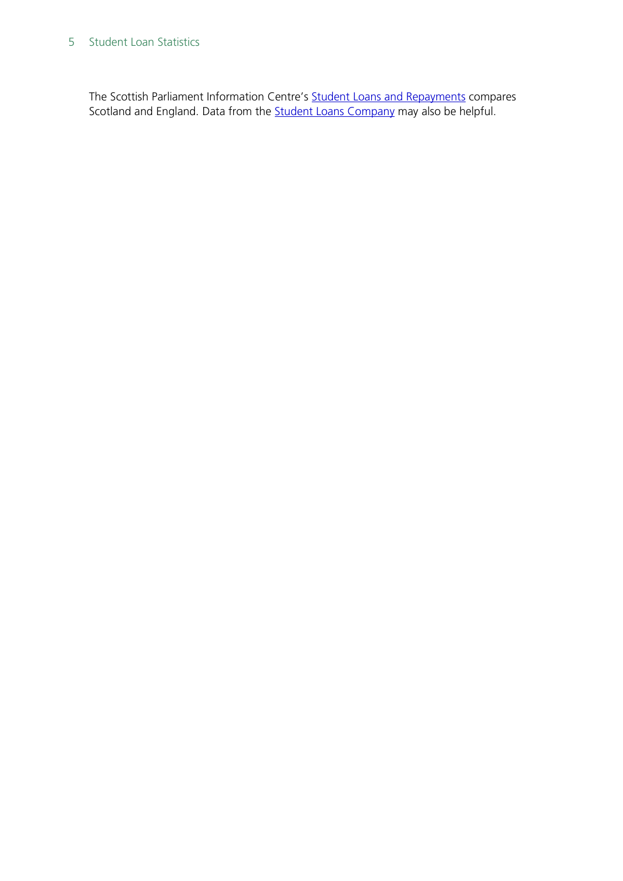#### 5 Student Loan Statistics

The Scottish Parliament Information Centre's [Student Loans and Repayments](http://www.scottish.parliament.uk/ResearchBriefingsAndFactsheets/S4/SB_13-78.pdf) compares Scotland and England. Data from the **Student Loans Company may also be helpful**.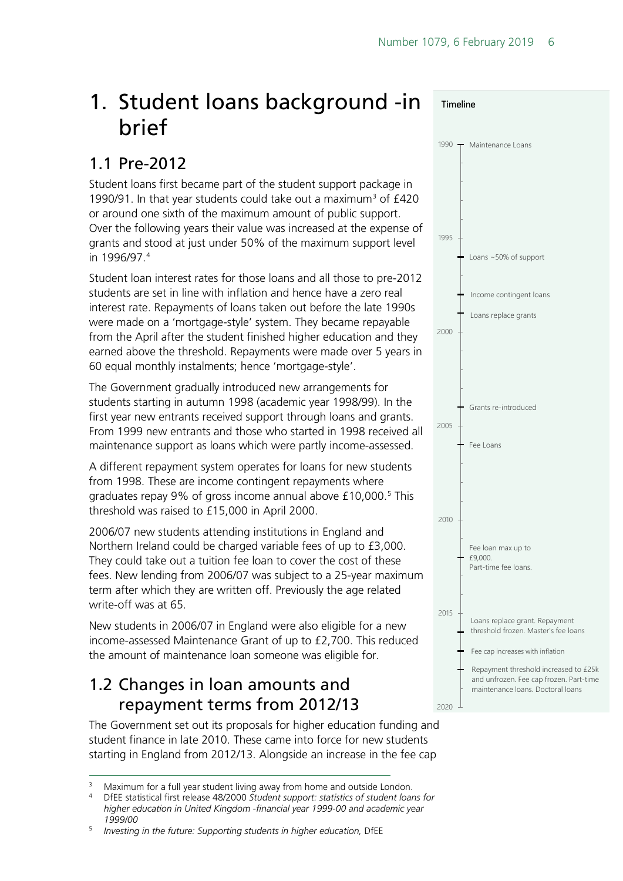## <span id="page-5-0"></span>1. Student loans background -in brief

### <span id="page-5-1"></span>1.1 Pre-2012

Student loans first became part of the student support package in 1990/91. In that year students could take out a maximum<sup>[3](#page-5-3)</sup> of  $£420$ or around one sixth of the maximum amount of public support. Over the following years their value was increased at the expense of grants and stood at just under 50% of the maximum support level in 1996/97.[4](#page-5-4)

Student loan interest rates for those loans and all those to pre-2012 students are set in line with inflation and hence have a zero real interest rate. Repayments of loans taken out before the late 1990s were made on a 'mortgage-style' system. They became repayable from the April after the student finished higher education and they earned above the threshold. Repayments were made over 5 years in 60 equal monthly instalments; hence 'mortgage-style'.

The Government gradually introduced new arrangements for students starting in autumn 1998 (academic year 1998/99). In the first year new entrants received support through loans and grants. From 1999 new entrants and those who started in 1998 received all maintenance support as loans which were partly income-assessed.

A different repayment system operates for loans for new students from 1998. These are income contingent repayments where graduates repay 9% of gross income annual above £10,000.<sup>[5](#page-5-5)</sup> This threshold was raised to £15,000 in April 2000.

2006/07 new students attending institutions in England and Northern Ireland could be charged variable fees of up to £3,000. They could take out a tuition fee loan to cover the cost of these fees. New lending from 2006/07 was subject to a 25-year maximum term after which they are written off. Previously the age related write-off was at 65.

New students in 2006/07 in England were also eligible for a new income-assessed Maintenance Grant of up to £2,700. This reduced the amount of maintenance loan someone was eligible for.

### <span id="page-5-2"></span>1.2 Changes in loan amounts and repayment terms from 2012/13

The Government set out its proposals for higher education funding and student finance in late 2010. These came into force for new students starting in England from 2012/13. Alongside an increase in the fee cap





<span id="page-5-4"></span><span id="page-5-3"></span><sup>&</sup>lt;sup>3</sup> Maximum for a full year student living away from home and outside London.<br><sup>4</sup> Differentiatical first release 48/2000 Student support: statistics of student loar <sup>4</sup> DfEE statistical first release 48/2000 *Student support: statistics of student loans for higher education in United Kingdom -financial year 1999-00 and academic year 1999/00*

<span id="page-5-5"></span><sup>5</sup> *Investing in the future: Supporting students in higher education,* DfEE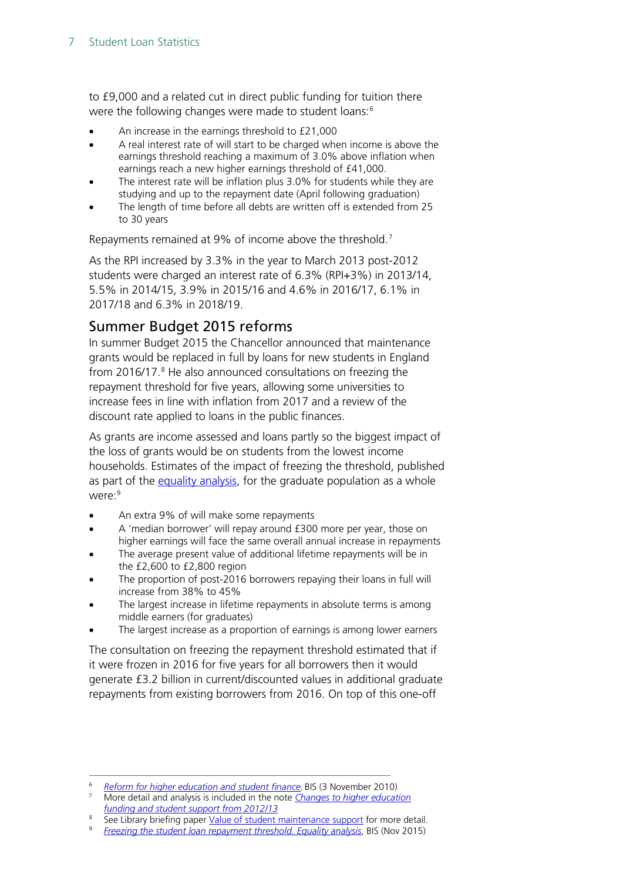to £9,000 and a related cut in direct public funding for tuition there were the following changes were made to student loans:<sup>[6](#page-6-1)</sup>

- An increase in the earnings threshold to £21,000
- A real interest rate of will start to be charged when income is above the earnings threshold reaching a maximum of 3.0% above inflation when earnings reach a new higher earnings threshold of £41,000.
- The interest rate will be inflation plus 3.0% for students while they are studying and up to the repayment date (April following graduation)
- The length of time before all debts are written off is extended from 25 to 30 years

Repayments remained at 9% of income above the threshold.<sup>[7](#page-6-2)</sup>

As the RPI increased by 3.3% in the year to March 2013 post-2012 students were charged an interest rate of 6.3% (RPI+3%) in 2013/14, 5.5% in 2014/15, 3.9% in 2015/16 and 4.6% in 2016/17, 6.1% in 2017/18 and 6.3% in 2018/19.

### <span id="page-6-0"></span>Summer Budget 2015 reforms

In summer Budget 2015 the Chancellor announced that maintenance grants would be replaced in full by loans for new students in England from 2016/17.<sup>[8](#page-6-3)</sup> He also announced consultations on freezing the repayment threshold for five years, allowing some universities to increase fees in line with inflation from 2017 and a review of the discount rate applied to loans in the public finances.

As grants are income assessed and loans partly so the biggest impact of the loss of grants would be on students from the lowest income households. Estimates of the impact of freezing the threshold, published as part of the [equality analysis,](https://www.gov.uk/government/uploads/system/uploads/attachment_data/file/479559/bis-15-635-freezing-student-loan-repayment-threshold-equality-analysis.pdf) for the graduate population as a whole were:<sup>[9](#page-6-4)</sup>

- An extra 9% of will make some repayments
- A 'median borrower' will repay around £300 more per year, those on higher earnings will face the same overall annual increase in repayments
- The average present value of additional lifetime repayments will be in the £2,600 to £2,800 region
- The proportion of post-2016 borrowers repaying their loans in full will increase from 38% to 45%
- The largest increase in lifetime repayments in absolute terms is among middle earners (for graduates)
- The largest increase as a proportion of earnings is among lower earners

The consultation on freezing the repayment threshold estimated that if it were frozen in 2016 for five years for all borrowers then it would generate £3.2 billion in current/discounted values in additional graduate repayments from existing borrowers from 2016. On top of this one-off

<span id="page-6-1"></span> <sup>6</sup> *[Reform for higher education and student finance](http://www.bis.gov.uk/news/topstories/2010/Nov/student-finance)*, BIS (3 November 2010)

<span id="page-6-2"></span><sup>7</sup> More detail and analysis is included in the note *[Changes to higher education](http://www.parliament.uk/briefingpapers/commons/lib/research/briefings/snsg-05753.pdf)  [funding and student support from 2012/13](http://www.parliament.uk/briefingpapers/commons/lib/research/briefings/snsg-05753.pdf)*

<span id="page-6-4"></span><span id="page-6-3"></span><sup>&</sup>lt;sup>8</sup> See Library briefing paper [Value of student maintenance support](http://www.parliament.uk/briefing-papers/SN00916) for more detail.

<sup>9</sup> *[Freezing the student loan repayment threshold. Equality analysis](https://www.gov.uk/government/uploads/system/uploads/attachment_data/file/479559/bis-15-635-freezing-student-loan-repayment-threshold-equality-analysis.pdf)*, BIS (Nov 2015)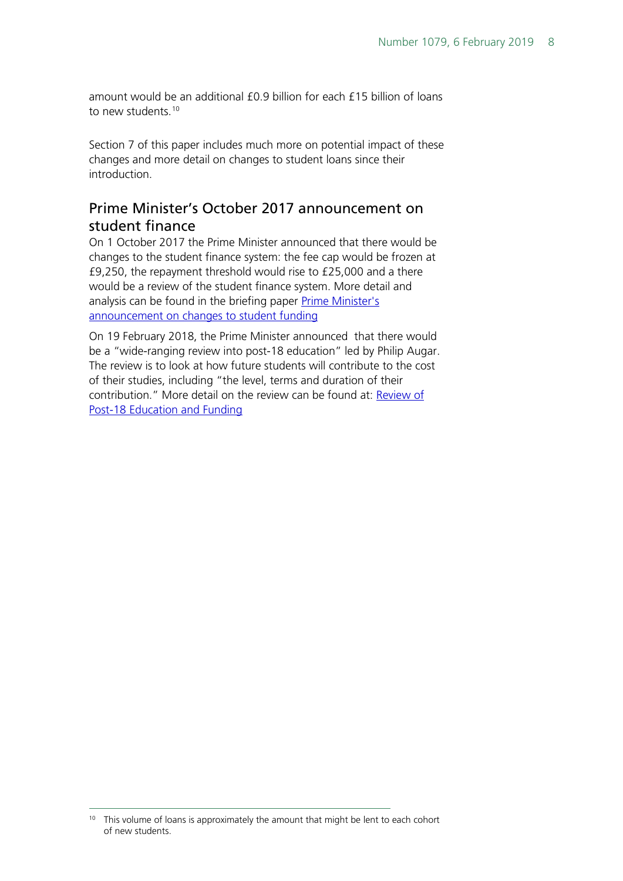amount would be an additional £0.9 billion for each £15 billion of loans to new students.<sup>[10](#page-7-1)</sup>

Section 7 of this paper includes much more on potential impact of these changes and more detail on changes to student loans since their introduction.

### <span id="page-7-0"></span>Prime Minister's October 2017 announcement on student finance

On 1 October 2017 the Prime Minister announced that there would be changes to the student finance system: the fee cap would be frozen at £9,250, the repayment threshold would rise to £25,000 and a there would be a review of the student finance system. More detail and analysis can be found in the briefing paper Prime Minister's [announcement on changes to student funding](http://researchbriefings.parliament.uk/ResearchBriefing/Summary/CBP-8097)

On 19 February 2018, the Prime Minister announced that there would be a "wide-ranging review into post-18 education" led by Philip Augar. The review is to look at how future students will contribute to the cost of their studies, including "the level, terms and duration of their contribution." More detail on the review can be found at: **Review of** [Post-18 Education and Funding](https://researchbriefings.parliament.uk/ResearchBriefing/Summary/CBP-8239)

<span id="page-7-1"></span><sup>&</sup>lt;sup>10</sup> This volume of loans is approximately the amount that might be lent to each cohort of new students.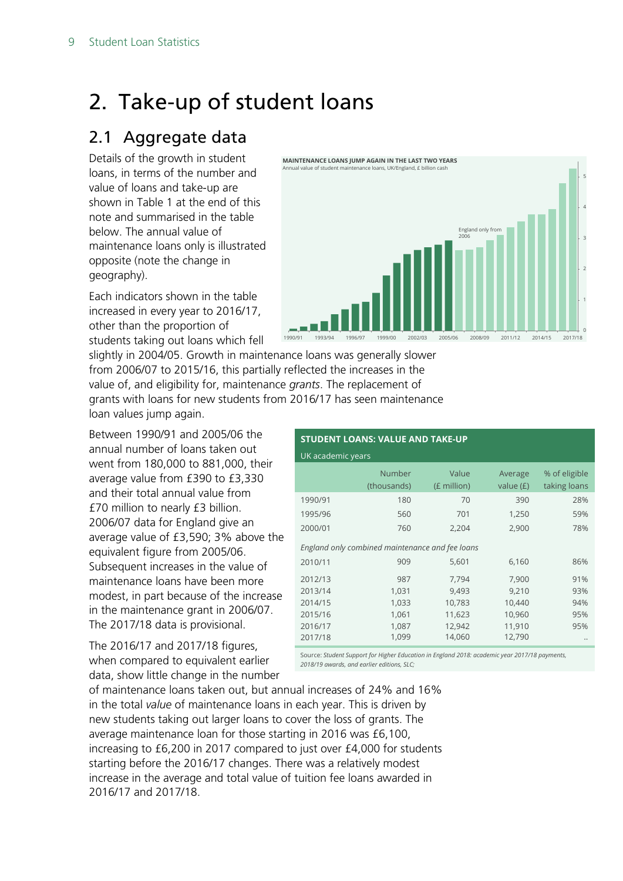## <span id="page-8-0"></span>2. Take-up of student loans

### <span id="page-8-1"></span>2.1 Aggregate data

Details of the growth in student loans, in terms of the number and value of loans and take-up are shown in Table 1 at the end of this note and summarised in the table below. The annual value of maintenance loans only is illustrated opposite (note the change in geography).

Each indicators shown in the table increased in every year to 2016/17, other than the proportion of students taking out loans which fell



slightly in 2004/05. Growth in maintenance loans was generally slower from 2006/07 to 2015/16, this partially reflected the increases in the value of, and eligibility for, maintenance *grants*. The replacement of grants with loans for new students from 2016/17 has seen maintenance loan values jump again.

Between 1990/91 and 2005/06 the annual number of loans taken out went from 180,000 to 881,000, their average value from £390 to £3,330 and their total annual value from £70 million to nearly £3 billion. 2006/07 data for England give an average value of £3,590; 3% above the equivalent figure from 2005/06. Subsequent increases in the value of maintenance loans have been more modest, in part because of the increase in the maintenance grant in 2006/07. The 2017/18 data is provisional.

The 2016/17 and 2017/18 figures, when compared to equivalent earlier data, show little change in the number

| <b>STUDENT LOANS: VALUE AND TAKE-UP</b>         |                       |                      |                        |                               |  |  |  |  |  |  |  |
|-------------------------------------------------|-----------------------|----------------------|------------------------|-------------------------------|--|--|--|--|--|--|--|
| UK academic years                               |                       |                      |                        |                               |  |  |  |  |  |  |  |
|                                                 | Number<br>(thousands) | Value<br>(£ million) | Average<br>value $(f)$ | % of eligible<br>taking loans |  |  |  |  |  |  |  |
| 1990/91                                         | 180                   | 70                   | 390                    | 28%                           |  |  |  |  |  |  |  |
| 1995/96                                         | 560                   | 701                  | 1,250                  | 59%                           |  |  |  |  |  |  |  |
| 2000/01                                         | 760                   | 2,204                | 2,900                  | 78%                           |  |  |  |  |  |  |  |
| England only combined maintenance and fee loans |                       |                      |                        |                               |  |  |  |  |  |  |  |
| 2010/11                                         | 909                   | 5,601                | 6,160                  | 86%                           |  |  |  |  |  |  |  |
| 2012/13                                         | 987                   | 7,794                | 7,900                  | 91%                           |  |  |  |  |  |  |  |
| 2013/14                                         | 1,031                 | 9,493                | 9,210                  | 93%                           |  |  |  |  |  |  |  |
| 2014/15                                         | 1,033                 | 10,783               | 10,440                 | 94%                           |  |  |  |  |  |  |  |
| 2015/16                                         | 1,061                 | 11,623               | 10,960                 | 95%                           |  |  |  |  |  |  |  |
| 2016/17                                         | 1,087                 | 12,942               | 11,910                 | 95%                           |  |  |  |  |  |  |  |
| 2017/18                                         | 1,099                 | 14,060               | 12,790                 |                               |  |  |  |  |  |  |  |

Source: *Student Support for Higher Education in England 2018: academic year 2017/18 payments, 2018/19 awards, and earlier editions, SLC;* 

of maintenance loans taken out, but annual increases of 24% and 16% in the total *value* of maintenance loans in each year. This is driven by new students taking out larger loans to cover the loss of grants. The average maintenance loan for those starting in 2016 was £6,100, increasing to £6,200 in 2017 compared to just over £4,000 for students starting before the 2016/17 changes. There was a relatively modest increase in the average and total value of tuition fee loans awarded in 2016/17 and 2017/18.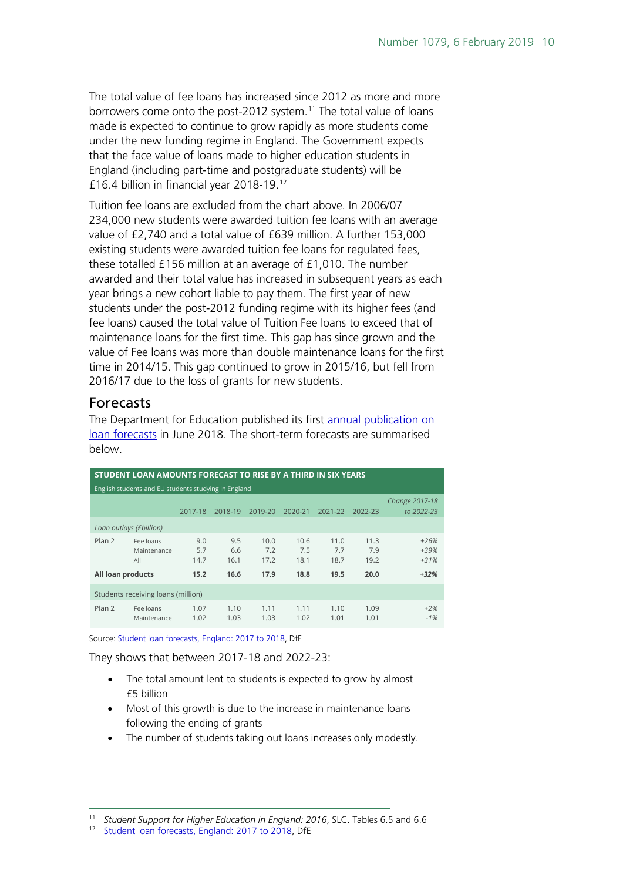The total value of fee loans has increased since 2012 as more and more borrowers come onto the post-2012 system.<sup>[11](#page-9-1)</sup> The total value of loans made is expected to continue to grow rapidly as more students come under the new funding regime in England. The Government expects that the face value of loans made to higher education students in England (including part-time and postgraduate students) will be £16.4 billion in financial year 2018-19.[12](#page-9-2)

Tuition fee loans are excluded from the chart above. In 2006/07 234,000 new students were awarded tuition fee loans with an average value of £2,740 and a total value of £639 million. A further 153,000 existing students were awarded tuition fee loans for regulated fees, these totalled £156 million at an average of £1,010. The number awarded and their total value has increased in subsequent years as each year brings a new cohort liable to pay them. The first year of new students under the post-2012 funding regime with its higher fees (and fee loans) caused the total value of Tuition Fee loans to exceed that of maintenance loans for the first time. This gap has since grown and the value of Fee loans was more than double maintenance loans for the first time in 2014/15. This gap continued to grow in 2015/16, but fell from 2016/17 due to the loss of grants for new students.

#### <span id="page-9-0"></span>Forecasts

The Department for Education published its first [annual publication on](https://www.gov.uk/government/statistics/student-loan-forecasts-england-2017-to-2018)  [loan forecasts](https://www.gov.uk/government/statistics/student-loan-forecasts-england-2017-to-2018) in June 2018. The short-term forecasts are summarised below.

| STUDENT LOAN AMOUNTS FORECAST TO RISE BY A THIRD IN SIX YEARS  |                                    |                    |                    |                     |                     |                     |                     |                              |  |  |  |  |
|----------------------------------------------------------------|------------------------------------|--------------------|--------------------|---------------------|---------------------|---------------------|---------------------|------------------------------|--|--|--|--|
| English students and EU students studying in England           |                                    |                    |                    |                     |                     |                     |                     |                              |  |  |  |  |
| 2018-19<br>2019-20<br>2021-22<br>2017-18<br>2020-21<br>2022-23 |                                    |                    |                    |                     |                     |                     |                     | Change 2017-18<br>to 2022-23 |  |  |  |  |
|                                                                | Loan outlays (£billion)            |                    |                    |                     |                     |                     |                     |                              |  |  |  |  |
| Plan 2                                                         | Fee loans<br>Maintenance<br>All    | 9.0<br>5.7<br>14.7 | 9.5<br>6.6<br>16.1 | 10.0<br>7.2<br>17.2 | 10.6<br>7.5<br>18.1 | 11.0<br>7.7<br>18.7 | 11.3<br>7.9<br>19.2 | $+26%$<br>$+39%$<br>$+31%$   |  |  |  |  |
| All loan products                                              |                                    | 15.2               | 16.6               | 17.9                | 18.8                | 19.5                | 20.0                | $+32%$                       |  |  |  |  |
|                                                                | Students receiving loans (million) |                    |                    |                     |                     |                     |                     |                              |  |  |  |  |
| Plan 2                                                         | Fee loans<br>Maintenance           | 1.07<br>1.02       | 1.10<br>1.03       | 1.11<br>1.03        | 1.11<br>1.02        | 1.10<br>1.01        | 1.09<br>1.01        | $+2%$<br>$-1%$               |  |  |  |  |

Source[: Student loan forecasts, England: 2017 to 2018,](https://www.gov.uk/government/statistics/student-loan-forecasts-england-2017-to-2018) DfE

They shows that between 2017-18 and 2022-23:

- The total amount lent to students is expected to grow by almost £5 billion
- Most of this growth is due to the increase in maintenance loans following the ending of grants
- The number of students taking out loans increases only modestly.

<span id="page-9-2"></span><span id="page-9-1"></span> <sup>11</sup> *Student Support for Higher Education in England: 2016*, SLC. Tables 6.5 and 6.6

[Student loan forecasts, England: 2017 to 2018,](https://www.gov.uk/government/statistics/student-loan-forecasts-england-2017-to-2018) DfE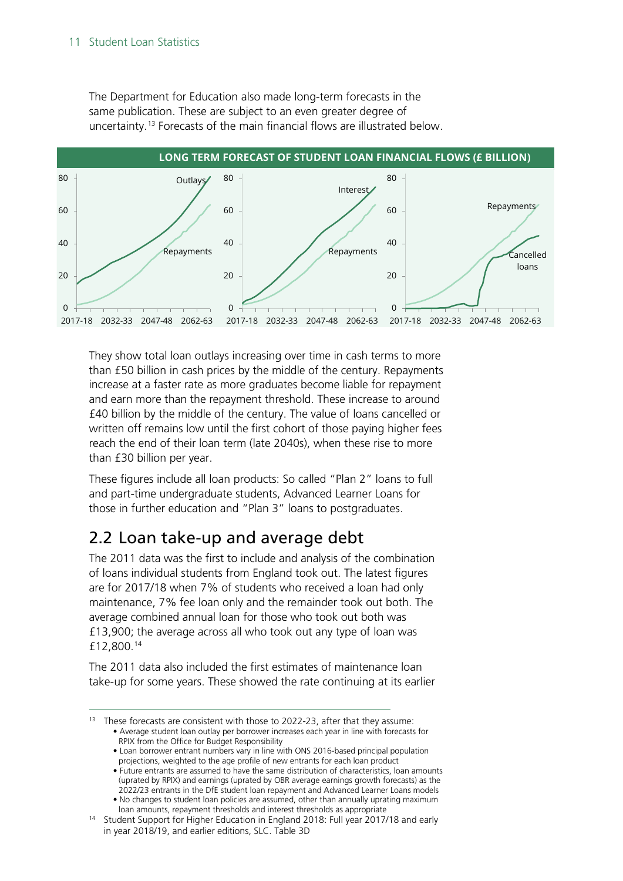#### 11 Student Loan Statistics

The Department for Education also made long-term forecasts in the same publication. These are subject to an even greater degree of uncertainty.[13](#page-10-1) Forecasts of the main financial flows are illustrated below.



They show total loan outlays increasing over time in cash terms to more than £50 billion in cash prices by the middle of the century. Repayments increase at a faster rate as more graduates become liable for repayment and earn more than the repayment threshold. These increase to around £40 billion by the middle of the century. The value of loans cancelled or written off remains low until the first cohort of those paying higher fees reach the end of their loan term (late 2040s), when these rise to more than £30 billion per year.

These figures include all loan products: So called "Plan 2" loans to full and part-time undergraduate students, Advanced Learner Loans for those in further education and "Plan 3" loans to postgraduates.

### <span id="page-10-0"></span>2.2 Loan take-up and average debt

The 2011 data was the first to include and analysis of the combination of loans individual students from England took out. The latest figures are for 2017/18 when 7% of students who received a loan had only maintenance, 7% fee loan only and the remainder took out both. The average combined annual loan for those who took out both was £13,900; the average across all who took out any type of loan was £12,800.[14](#page-10-2)

The 2011 data also included the first estimates of maintenance loan take-up for some years. These showed the rate continuing at its earlier

<span id="page-10-1"></span>These forecasts are consistent with those to 2022-23, after that they assume: • Average student loan outlay per borrower increases each year in line with forecasts for RPIX from the Office for Budget Responsibility

• Loan borrower entrant numbers vary in line with ONS 2016-based principal population projections, weighted to the age profile of new entrants for each loan product

• Future entrants are assumed to have the same distribution of characteristics, loan amounts (uprated by RPIX) and earnings (uprated by OBR average earnings growth forecasts) as the 2022/23 entrants in the DfE student loan repayment and Advanced Learner Loans models

• No changes to student loan policies are assumed, other than annually uprating maximum loan amounts, repayment thresholds and interest thresholds as appropriate

<span id="page-10-2"></span><sup>&</sup>lt;sup>14</sup> Student Support for Higher Education in England 2018: Full year 2017/18 and early in year 2018/19, and earlier editions, SLC. Table 3D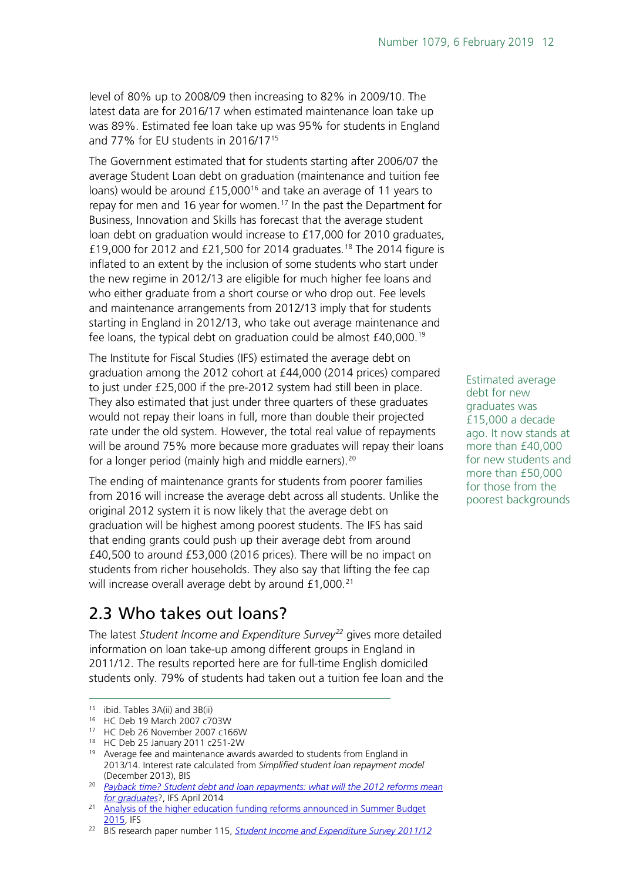level of 80% up to 2008/09 then increasing to 82% in 2009/10. The latest data are for 2016/17 when estimated maintenance loan take up was 89%. Estimated fee loan take up was 95% for students in England and 77% for EU students in 2016/17[15](#page-11-1)

The Government estimated that for students starting after 2006/07 the average Student Loan debt on graduation (maintenance and tuition fee loans) would be around £15,000<sup>[16](#page-11-2)</sup> and take an average of 11 years to repay for men and 16 year for women.<sup>[17](#page-11-3)</sup> In the past the Department for Business, Innovation and Skills has forecast that the average student loan debt on graduation would increase to £17,000 for 2010 graduates, £19,000 for 2012 and £21,500 for 2014 graduates.<sup>[18](#page-11-4)</sup> The 2014 figure is inflated to an extent by the inclusion of some students who start under the new regime in 2012/13 are eligible for much higher fee loans and who either graduate from a short course or who drop out. Fee levels and maintenance arrangements from 2012/13 imply that for students starting in England in 2012/13, who take out average maintenance and fee loans, the typical debt on graduation could be almost  $£40,000.^{19}$  $£40,000.^{19}$  $£40,000.^{19}$ 

The Institute for Fiscal Studies (IFS) estimated the average debt on graduation among the 2012 cohort at £44,000 (2014 prices) compared to just under £25,000 if the pre-2012 system had still been in place. They also estimated that just under three quarters of these graduates would not repay their loans in full, more than double their projected rate under the old system. However, the total real value of repayments will be around 75% more because more graduates will repay their loans for a longer period (mainly high and middle earners).<sup>[20](#page-11-6)</sup>

The ending of maintenance grants for students from poorer families from 2016 will increase the average debt across all students. Unlike the original 2012 system it is now likely that the average debt on graduation will be highest among poorest students. The IFS has said that ending grants could push up their average debt from around £40,500 to around £53,000 (2016 prices). There will be no impact on students from richer households. They also say that lifting the fee cap will increase overall average debt by around £1,000.<sup>[21](#page-11-7)</sup>

### <span id="page-11-0"></span>2.3 Who takes out loans?

The latest *Student Income and Expenditure Survey[22](#page-11-8)* gives more detailed information on loan take-up among different groups in England in 2011/12. The results reported here are for full-time English domiciled students only. 79% of students had taken out a tuition fee loan and the

Estimated average debt for new graduates was £15,000 a decade ago. It now stands at more than £40,000 for new students and more than £50,000 for those from the poorest backgrounds

<span id="page-11-2"></span><span id="page-11-1"></span> <sup>15</sup> ibid. Tables 3A(ii) and 3B(ii)

<sup>16</sup> HC Deb 19 March 2007 c703W

<span id="page-11-3"></span><sup>17</sup> HC Deb 26 November 2007 c166W

<span id="page-11-4"></span><sup>18</sup> HC Deb 25 January 2011 c251-2W

<span id="page-11-5"></span><sup>&</sup>lt;sup>19</sup> Average fee and maintenance awards awarded to students from England in 2013/14. Interest rate calculated from *Simplified* s*tudent loan repayment model*  (December 2013), BIS

<span id="page-11-6"></span><sup>&</sup>lt;sup>20</sup> *Payback time? Student debt and loan repayments: what will the 2012 reforms mean [for graduates](http://www.ifs.org.uk/publications/7165)*?, IFS April 2014

<span id="page-11-7"></span><sup>&</sup>lt;sup>21</sup> Analysis of the higher education funding reforms announced in Summer Budget [2015,](http://www.ifs.org.uk/publications/7904) IFS

<span id="page-11-8"></span><sup>&</sup>lt;sup>22</sup> BIS research paper number 115, **[Student Income and Expenditure Survey 2011/12](https://www.gov.uk/government/uploads/system/uploads/attachment_data/file/209389/bis-13-P190-student-income-expenditure-survey-2011-12.pdf)**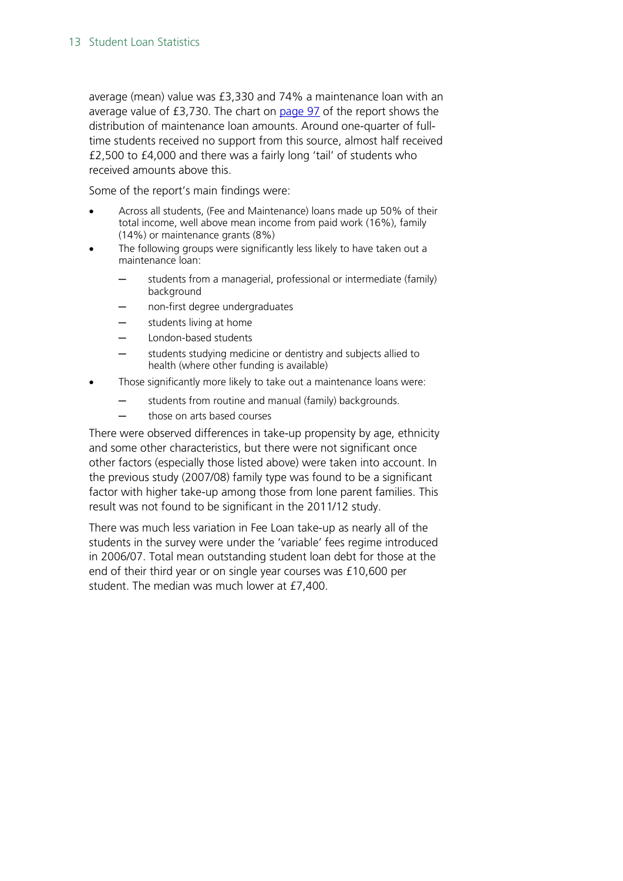average (mean) value was £3,330 and 74% a maintenance loan with an average value of £3,730. The chart on [page 97](https://www.gov.uk/government/uploads/system/uploads/attachment_data/file/209389/bis-13-P190-student-income-expenditure-survey-2011-12.pdf#page=97) of the report shows the distribution of maintenance loan amounts. Around one-quarter of fulltime students received no support from this source, almost half received £2,500 to £4,000 and there was a fairly long 'tail' of students who received amounts above this.

Some of the report's main findings were:

- Across all students, (Fee and Maintenance) loans made up 50% of their total income, well above mean income from paid work (16%), family (14%) or maintenance grants (8%)
- The following groups were significantly less likely to have taken out a maintenance loan:
	- students from a managerial, professional or intermediate (family) background
	- ─ non-first degree undergraduates
	- students living at home
	- London-based students
	- students studying medicine or dentistry and subjects allied to health (where other funding is available)
- Those significantly more likely to take out a maintenance loans were:
	- $-$  students from routine and manual (family) backgrounds.
	- ─ those on arts based courses

There were observed differences in take-up propensity by age, ethnicity and some other characteristics, but there were not significant once other factors (especially those listed above) were taken into account. In the previous study (2007/08) family type was found to be a significant factor with higher take-up among those from lone parent families. This result was not found to be significant in the 2011/12 study.

There was much less variation in Fee Loan take-up as nearly all of the students in the survey were under the 'variable' fees regime introduced in 2006/07. Total mean outstanding student loan debt for those at the end of their third year or on single year courses was £10,600 per student. The median was much lower at £7,400.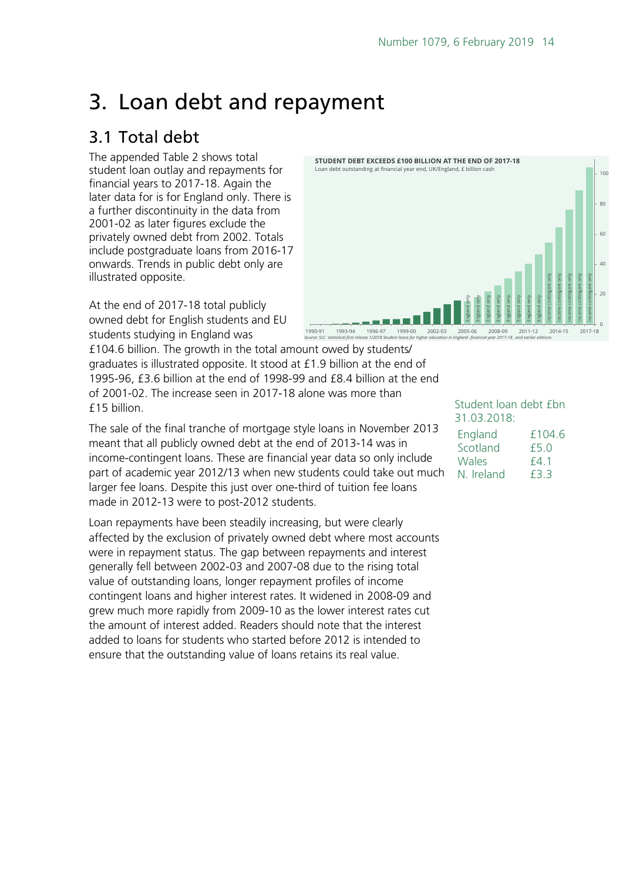## <span id="page-13-0"></span>3. Loan debt and repayment

### <span id="page-13-1"></span>3.1 Total debt

The appended Table 2 shows total student loan outlay and repayments for financial years to 2017-18. Again the later data for is for England only. There is a further discontinuity in the data from 2001-02 as later figures exclude the privately owned debt from 2002. Totals include postgraduate loans from 2016-17 onwards. Trends in public debt only are illustrated opposite.

At the end of 2017-18 total publicly owned debt for English students and EU students studying in England was

£104.6 billion. The growth in the total amount owed by students/ graduates is illustrated opposite. It stood at £1.9 billion at the end of 1995-96, £3.6 billion at the end of 1998-99 and £8.4 billion at the end of 2001-02. The increase seen in 2017-18 alone was more than £15 billion.

The sale of the final tranche of mortgage style loans in November 2013 meant that all publicly owned debt at the end of 2013-14 was in income-contingent loans. These are financial year data so only include part of academic year 2012/13 when new students could take out much larger fee loans. Despite this just over one-third of tuition fee loans made in 2012-13 were to post-2012 students.

Loan repayments have been steadily increasing, but were clearly affected by the exclusion of privately owned debt where most accounts were in repayment status. The gap between repayments and interest generally fell between 2002-03 and 2007-08 due to the rising total value of outstanding loans, longer repayment profiles of income contingent loans and higher interest rates. It widened in 2008-09 and grew much more rapidly from 2009-10 as the lower interest rates cut the amount of interest added. Readers should note that the interest added to loans for students who started before 2012 is intended to ensure that the outstanding value of loans retains its real value.



#### Student loan debt £bn 31.03.2018:

| England    | f104.6 |
|------------|--------|
| Scotland   | f5.0   |
| Wales      | f4.1   |
| N. Ireland | F3 3   |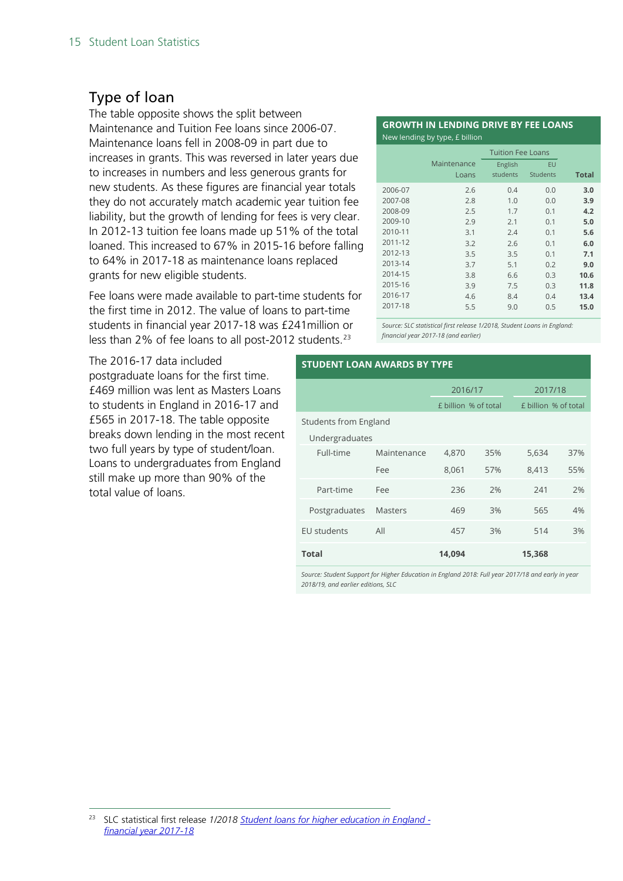### <span id="page-14-0"></span>Type of loan

The table opposite shows the split between Maintenance and Tuition Fee loans since 2006-07. Maintenance loans fell in 2008-09 in part due to increases in grants. This was reversed in later years due to increases in numbers and less generous grants for new students. As these figures are financial year totals they do not accurately match academic year tuition fee liability, but the growth of lending for fees is very clear. In 2012-13 tuition fee loans made up 51% of the total loaned. This increased to 67% in 2015-16 before falling to 64% in 2017-18 as maintenance loans replaced grants for new eligible students.

Fee loans were made available to part-time students for the first time in 2012. The value of loans to part-time students in financial year 2017-18 was £241million or less than 2% of fee loans to all post-2012 students.<sup>[23](#page-14-1)</sup>

#### **GROWTH IN LENDING DRIVE BY FEE LOANS** New lending by type, £ billion

|         | Maintenance | English  | EU       |              |
|---------|-------------|----------|----------|--------------|
|         | Loans       | students | Students | <b>Total</b> |
| 2006-07 | 2.6         | 0.4      | 0.0      | 3.0          |
| 2007-08 | 2.8         | 1.0      | 0.0      | 3.9          |
| 2008-09 | 2.5         | 1.7      | 0.1      | 4.2          |
| 2009-10 | 2.9         | 2.1      | 0.1      | 5.0          |
| 2010-11 | 3.1         | 2.4      | 0.1      | 5.6          |
| 2011-12 | 3.2         | 2.6      | 0.1      | 6.0          |
| 2012-13 | 3.5         | 3.5      | 0.1      | 7.1          |
| 2013-14 | 3.7         | 5.1      | 0.2      | 9.0          |
| 2014-15 | 3.8         | 6.6      | 0.3      | 10.6         |
| 2015-16 | 3.9         | 7.5      | 0.3      | 11.8         |
| 2016-17 | 4.6         | 8.4      | 0.4      | 13.4         |
| 2017-18 | 5.5         | 9.0      | 0.5      | 15.0         |

*Source: SLC statistical first release 1/2018, Student Loans in England: financial year 2017-18 (and earlier)*

The 2016-17 data included postgraduate loans for the first time. £469 million was lent as Masters Loans to students in England in 2016-17 and £565 in 2017-18. The table opposite breaks down lending in the most recent two full years by type of student/loan. Loans to undergraduates from England still make up more than 90% of the total value of loans.

#### **STUDENT LOAN AWARDS BY TYPE**

|                              |                | 2016/17              |     | 2017/18              |     |  |  |
|------------------------------|----------------|----------------------|-----|----------------------|-----|--|--|
|                              |                | £ billion % of total |     | £ billion % of total |     |  |  |
| <b>Students from England</b> |                |                      |     |                      |     |  |  |
| Undergraduates               |                |                      |     |                      |     |  |  |
| Full-time                    | Maintenance    |                      | 35% | 5,634                | 37% |  |  |
|                              | Fee            | 8,061                | 57% | 8,413                | 55% |  |  |
| Part-time                    | Fee            | 236                  | 2%  | 241                  | 2%  |  |  |
| Postgraduates                | <b>Masters</b> | 469                  | 3%  | 565                  | 4%  |  |  |
| <b>EU</b> students           | All            | 457<br>3%            |     | 514                  | 3%  |  |  |
| <b>Total</b>                 |                | 14.094               |     | 15,368               |     |  |  |

Source: Student Support for Higher Education in England 2018: Full year 2017/18 and early in year *2018/19, and earlier editions, SLC*

<span id="page-14-1"></span> <sup>23</sup> SLC statistical first release *1/2018 [Student loans for higher education in England](http://www.slc.co.uk/official-statistics/student-loans-debt-and-repayment/england.aspx)  [financial year 2017-18](http://www.slc.co.uk/official-statistics/student-loans-debt-and-repayment/england.aspx)*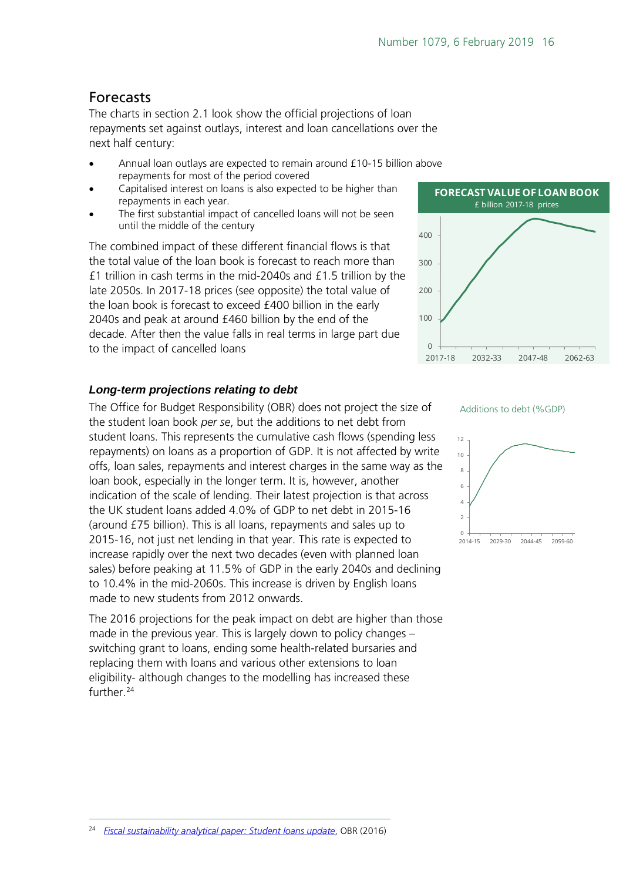#### <span id="page-15-0"></span>Forecasts

The charts in section 2.1 look show the official projections of loan repayments set against outlays, interest and loan cancellations over the next half century:

- Annual loan outlays are expected to remain around £10-15 billion above repayments for most of the period covered
- Capitalised interest on loans is also expected to be higher than repayments in each year.
- The first substantial impact of cancelled loans will not be seen until the middle of the century

The combined impact of these different financial flows is that the total value of the loan book is forecast to reach more than £1 trillion in cash terms in the mid-2040s and £1.5 trillion by the late 2050s. In 2017-18 prices (see opposite) the total value of the loan book is forecast to exceed £400 billion in the early 2040s and peak at around £460 billion by the end of the decade. After then the value falls in real terms in large part due to the impact of cancelled loans

#### *Long-term projections relating to debt*

The Office for Budget Responsibility (OBR) does not project the size of the student loan book *per se*, but the additions to net debt from student loans. This represents the cumulative cash flows (spending less repayments) on loans as a proportion of GDP. It is not affected by write offs, loan sales, repayments and interest charges in the same way as the loan book, especially in the longer term. It is, however, another indication of the scale of lending. Their latest projection is that across the UK student loans added 4.0% of GDP to net debt in 2015-16 (around £75 billion). This is all loans, repayments and sales up to 2015-16, not just net lending in that year. This rate is expected to increase rapidly over the next two decades (even with planned loan sales) before peaking at 11.5% of GDP in the early 2040s and declining to 10.4% in the mid-2060s. This increase is driven by English loans made to new students from 2012 onwards.

The 2016 projections for the peak impact on debt are higher than those made in the previous year. This is largely down to policy changes – switching grant to loans, ending some health-related bursaries and replacing them with loans and various other extensions to loan eligibility- although changes to the modelling has increased these further. [24](#page-15-1)



**FORECAST VALUE OF LOAN BOOK**





<span id="page-15-1"></span>24 *[Fiscal sustainability analytical paper: Student loans update](http://budgetresponsibility.org.uk/docs/dlm_uploads/FSAP_July_2016_student_loans_update.pdf)*, OBR (2016)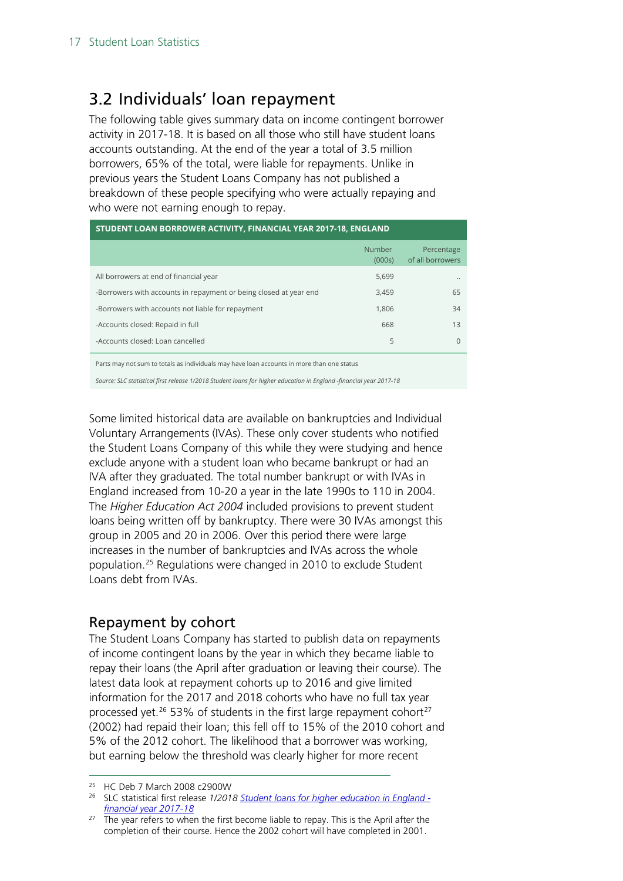### <span id="page-16-0"></span>3.2 Individuals' loan repayment

The following table gives summary data on income contingent borrower activity in 2017-18. It is based on all those who still have student loans accounts outstanding. At the end of the year a total of 3.5 million borrowers, 65% of the total, were liable for repayments. Unlike in previous years the Student Loans Company has not published a breakdown of these people specifying who were actually repaying and who were not earning enough to repay.

| STUDENT LOAN BORROWER ACTIVITY, FINANCIAL YEAR 2017-18, ENGLAND   |                  |                                |  |  |  |  |  |  |  |
|-------------------------------------------------------------------|------------------|--------------------------------|--|--|--|--|--|--|--|
|                                                                   | Number<br>(000s) | Percentage<br>of all borrowers |  |  |  |  |  |  |  |
| All borrowers at end of financial year                            | 5,699            |                                |  |  |  |  |  |  |  |
| -Borrowers with accounts in repayment or being closed at year end | 3,459            | 65                             |  |  |  |  |  |  |  |
| -Borrowers with accounts not liable for repayment                 | 1.806            | 34                             |  |  |  |  |  |  |  |
| -Accounts closed: Repaid in full                                  | 668              | 13                             |  |  |  |  |  |  |  |
| -Accounts closed: Loan cancelled                                  | 5                | $\Omega$                       |  |  |  |  |  |  |  |
|                                                                   |                  |                                |  |  |  |  |  |  |  |

Parts may not sum to totals as individuals may have loan accounts in more than one status

*Source: SLC statistical first release 1/2018 Student loans for higher education in England -financial year 2017-18*

Some limited historical data are available on bankruptcies and Individual Voluntary Arrangements (IVAs). These only cover students who notified the Student Loans Company of this while they were studying and hence exclude anyone with a student loan who became bankrupt or had an IVA after they graduated. The total number bankrupt or with IVAs in England increased from 10-20 a year in the late 1990s to 110 in 2004. The *Higher Education Act 2004* included provisions to prevent student loans being written off by bankruptcy. There were 30 IVAs amongst this group in 2005 and 20 in 2006. Over this period there were large increases in the number of bankruptcies and IVAs across the whole population.[25](#page-16-2) Regulations were changed in 2010 to exclude Student Loans debt from IVAs.

### <span id="page-16-1"></span>Repayment by cohort

The Student Loans Company has started to publish data on repayments of income contingent loans by the year in which they became liable to repay their loans (the April after graduation or leaving their course). The latest data look at repayment cohorts up to 2016 and give limited information for the 2017 and 2018 cohorts who have no full tax year processed yet.<sup>[26](#page-16-3)</sup> 53% of students in the first large repayment cohort<sup>[27](#page-16-4)</sup> (2002) had repaid their loan; this fell off to 15% of the 2010 cohort and 5% of the 2012 cohort. The likelihood that a borrower was working, but earning below the threshold was clearly higher for more recent

<span id="page-16-2"></span> <sup>25</sup> HC Deb 7 March 2008 c2900W

<span id="page-16-3"></span><sup>26</sup> SLC statistical first release *1/2018 [Student loans for higher education in England](http://www.slc.co.uk/official-statistics/student-loans-debt-and-repayment/england.aspx)  [financial year 2017-18](http://www.slc.co.uk/official-statistics/student-loans-debt-and-repayment/england.aspx)*

<span id="page-16-4"></span> $27$  The year refers to when the first become liable to repay. This is the April after the completion of their course. Hence the 2002 cohort will have completed in 2001.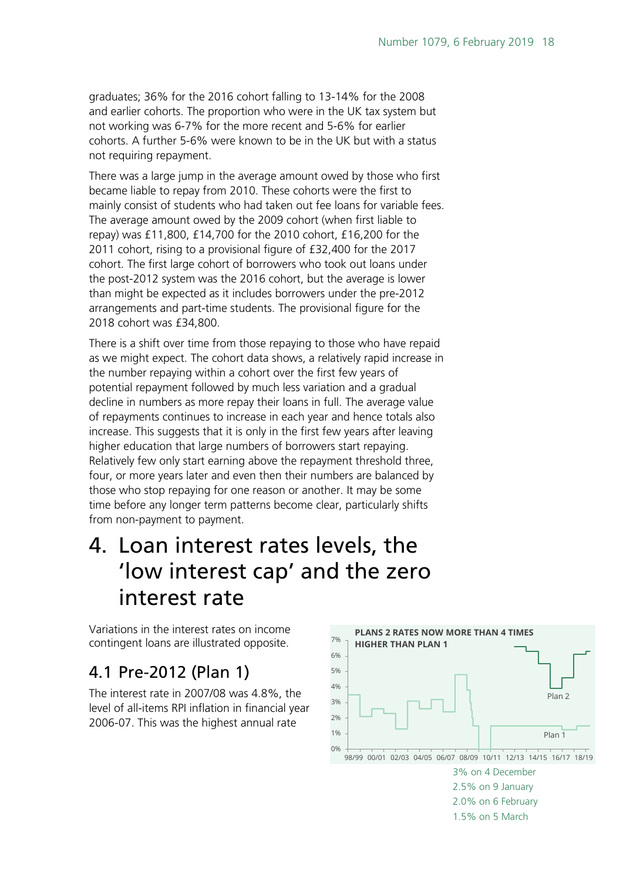graduates; 36% for the 2016 cohort falling to 13-14% for the 2008 and earlier cohorts. The proportion who were in the UK tax system but not working was 6-7% for the more recent and 5-6% for earlier cohorts. A further 5-6% were known to be in the UK but with a status not requiring repayment.

There was a large jump in the average amount owed by those who first became liable to repay from 2010. These cohorts were the first to mainly consist of students who had taken out fee loans for variable fees. The average amount owed by the 2009 cohort (when first liable to repay) was £11,800, £14,700 for the 2010 cohort, £16,200 for the 2011 cohort, rising to a provisional figure of £32,400 for the 2017 cohort. The first large cohort of borrowers who took out loans under the post-2012 system was the 2016 cohort, but the average is lower than might be expected as it includes borrowers under the pre-2012 arrangements and part-time students. The provisional figure for the 2018 cohort was £34,800.

There is a shift over time from those repaying to those who have repaid as we might expect. The cohort data shows, a relatively rapid increase in the number repaying within a cohort over the first few years of potential repayment followed by much less variation and a gradual decline in numbers as more repay their loans in full. The average value of repayments continues to increase in each year and hence totals also increase. This suggests that it is only in the first few years after leaving higher education that large numbers of borrowers start repaying. Relatively few only start earning above the repayment threshold three, four, or more years later and even then their numbers are balanced by those who stop repaying for one reason or another. It may be some time before any longer term patterns become clear, particularly shifts from non-payment to payment.

## <span id="page-17-0"></span>4. Loan interest rates levels, the 'low interest cap' and the zero interest rate

Variations in the interest rates on income contingent loans are illustrated opposite.

## <span id="page-17-1"></span>4.1 Pre-2012 (Plan 1)

The interest rate in 2007/08 was 4.8%, the level of all-items RPI inflation in financial year 2006-07. This was the highest annual rate

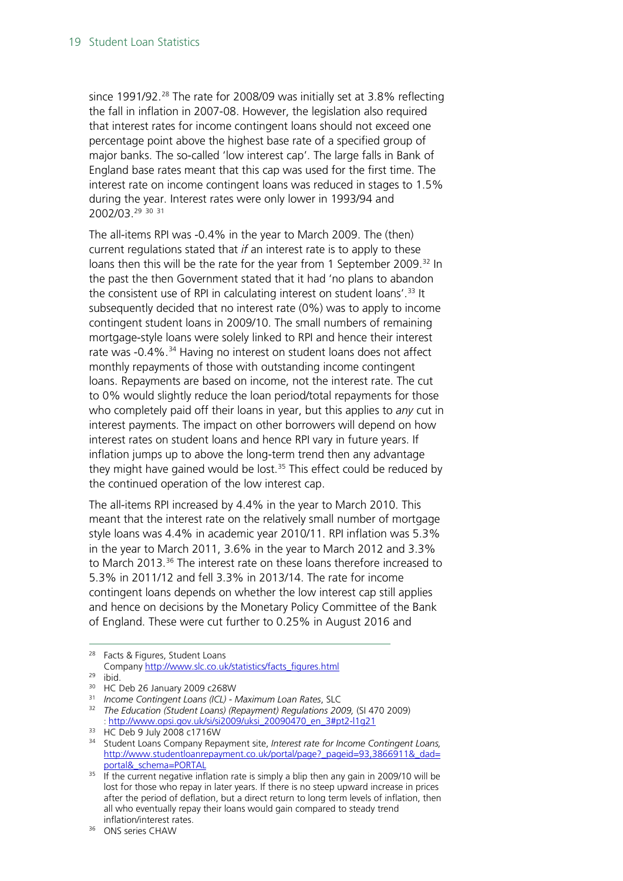since 1991/92.<sup>[28](#page-18-0)</sup> The rate for 2008/09 was initially set at 3.8% reflecting the fall in inflation in 2007-08. However, the legislation also required that interest rates for income contingent loans should not exceed one percentage point above the highest base rate of a specified group of major banks. The so-called 'low interest cap'. The large falls in Bank of England base rates meant that this cap was used for the first time. The interest rate on income contingent loans was reduced in stages to 1.5% during the year. Interest rates were only lower in 1993/94 and 2002/03.[29](#page-18-1) [30](#page-18-2) [31](#page-18-3)

The all-items RPI was -0.4% in the year to March 2009. The (then) current regulations stated that *if* an interest rate is to apply to these loans then this will be the rate for the year from 1 September 2009.<sup>[32](#page-18-4)</sup> In the past the then Government stated that it had 'no plans to abandon the consistent use of RPI in calculating interest on student loans'.<sup>[33](#page-18-5)</sup> It subsequently decided that no interest rate (0%) was to apply to income contingent student loans in 2009/10. The small numbers of remaining mortgage-style loans were solely linked to RPI and hence their interest rate was -0.4%.<sup>[34](#page-18-6)</sup> Having no interest on student loans does not affect monthly repayments of those with outstanding income contingent loans. Repayments are based on income, not the interest rate. The cut to 0% would slightly reduce the loan period/total repayments for those who completely paid off their loans in year, but this applies to *any* cut in interest payments. The impact on other borrowers will depend on how interest rates on student loans and hence RPI vary in future years. If inflation jumps up to above the long-term trend then any advantage they might have gained would be lost.<sup>[35](#page-18-7)</sup> This effect could be reduced by the continued operation of the low interest cap.

The all-items RPI increased by 4.4% in the year to March 2010. This meant that the interest rate on the relatively small number of mortgage style loans was 4.4% in academic year 2010/11. RPI inflation was 5.3% in the year to March 2011, 3.6% in the year to March 2012 and 3.3% to March 2013.<sup>[36](#page-18-8)</sup> The interest rate on these loans therefore increased to 5.3% in 2011/12 and fell 3.3% in 2013/14. The rate for income contingent loans depends on whether the low interest cap still applies and hence on decisions by the Monetary Policy Committee of the Bank of England. These were cut further to 0.25% in August 2016 and

<span id="page-18-0"></span> <sup>28</sup> Facts & Figures, Student Loans Company [http://www.slc.co.uk/statistics/facts\\_figures.html](http://www.slc.co.uk/statistics/facts_figures.html)

<span id="page-18-1"></span><sup>29</sup> ibid.

<span id="page-18-2"></span><sup>&</sup>lt;sup>30</sup> HC Deb 26 January 2009 c268W

<sup>31</sup> *Income Contingent Loans (ICL) - Maximum Loan Rates*, SLC

<span id="page-18-4"></span><span id="page-18-3"></span><sup>32</sup> *The Education (Student Loans) (Repayment) Regulations 2009,* (SI 470 2009) [: http://www.opsi.gov.uk/si/si2009/uksi\\_20090470\\_en\\_3#pt2-l1g21](http://www.opsi.gov.uk/si/si2009/uksi_20090470_en_3#pt2-l1g21)

<span id="page-18-5"></span><sup>33</sup> HC Deb 9 July 2008 c1716W

<span id="page-18-6"></span><sup>34</sup> Student Loans Company Repayment site, *Interest rate for Income Contingent Loans,*  [http://www.studentloanrepayment.co.uk/portal/page?\\_pageid=93,3866911&\\_dad=](http://www.studentloanrepayment.co.uk/portal/page?_pageid=93,3866911&_dad=portal&_schema=PORTAL) [portal&\\_schema=PORTAL](http://www.studentloanrepayment.co.uk/portal/page?_pageid=93,3866911&_dad=portal&_schema=PORTAL)

<span id="page-18-7"></span> $35$  If the current negative inflation rate is simply a blip then any gain in 2009/10 will be lost for those who repay in later years. If there is no steep upward increase in prices after the period of deflation, but a direct return to long term levels of inflation, then all who eventually repay their loans would gain compared to steady trend inflation/interest rates.

<span id="page-18-8"></span><sup>36</sup> ONS series CHAW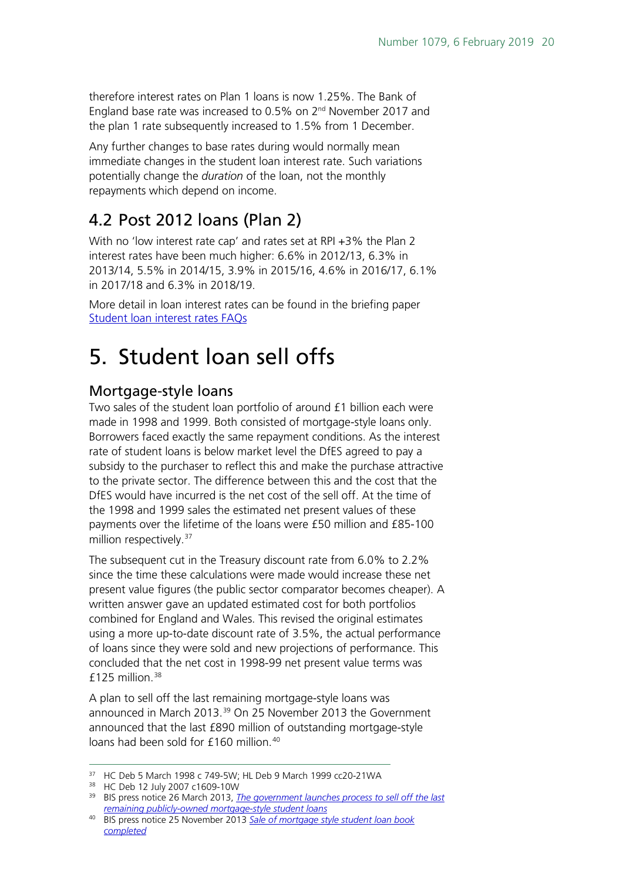therefore interest rates on Plan 1 loans is now 1.25%. The Bank of England base rate was increased to 0.5% on  $2^{nd}$  November 2017 and the plan 1 rate subsequently increased to 1.5% from 1 December.

Any further changes to base rates during would normally mean immediate changes in the student loan interest rate. Such variations potentially change the *duration* of the loan, not the monthly repayments which depend on income.

### <span id="page-19-1"></span>4.2 Post 2012 loans (Plan 2)

With no 'low interest rate cap' and rates set at RPI +3% the Plan 2 interest rates have been much higher: 6.6% in 2012/13, 6.3% in 2013/14, 5.5% in 2014/15, 3.9% in 2015/16, 4.6% in 2016/17, 6.1% in 2017/18 and 6.3% in 2018/19.

More detail in loan interest rates can be found in the briefing paper [Student loan interest rates FAQs](http://researchbriefings.parliament.uk/ResearchBriefing/Summary/CBP-8089)

## <span id="page-19-0"></span>5. Student loan sell offs

### <span id="page-19-2"></span>Mortgage-style loans

Two sales of the student loan portfolio of around £1 billion each were made in 1998 and 1999. Both consisted of mortgage-style loans only. Borrowers faced exactly the same repayment conditions. As the interest rate of student loans is below market level the DfES agreed to pay a subsidy to the purchaser to reflect this and make the purchase attractive to the private sector. The difference between this and the cost that the DfES would have incurred is the net cost of the sell off. At the time of the 1998 and 1999 sales the estimated net present values of these payments over the lifetime of the loans were £50 million and £85-100 million respectively.<sup>[37](#page-19-3)</sup>

The subsequent cut in the Treasury discount rate from 6.0% to 2.2% since the time these calculations were made would increase these net present value figures (the public sector comparator becomes cheaper). A written answer gave an updated estimated cost for both portfolios combined for England and Wales. This revised the original estimates using a more up-to-date discount rate of 3.5%, the actual performance of loans since they were sold and new projections of performance. This concluded that the net cost in 1998-99 net present value terms was £125 million. $38$ 

A plan to sell off the last remaining mortgage-style loans was announced in March 2013.<sup>[39](#page-19-5)</sup> On 25 November 2013 the Government announced that the last £890 million of outstanding mortgage-style loans had been sold for £160 million.<sup>[40](#page-19-6)</sup>

<span id="page-19-3"></span> <sup>37</sup> HC Deb 5 March 1998 c 749-5W; HL Deb 9 March 1999 cc20-21WA

<span id="page-19-4"></span><sup>38</sup> HC Deb 12 July 2007 c1609-10W

<span id="page-19-5"></span><sup>39</sup> BIS press notice 26 March 2013, *[The government launches process to sell off the last](https://www.gov.uk/government/news/government-to-sell-off-mortgage-style-student-loan-book)  [remaining publicly-owned mortgage-style student loans](https://www.gov.uk/government/news/government-to-sell-off-mortgage-style-student-loan-book)*

<span id="page-19-6"></span><sup>40</sup> BIS press notice 25 November 2013 *[Sale of mortgage style student loan book](https://www.gov.uk/government/news/sale-of-mortgage-style-student-loan-book-completed)  [completed](https://www.gov.uk/government/news/sale-of-mortgage-style-student-loan-book-completed)*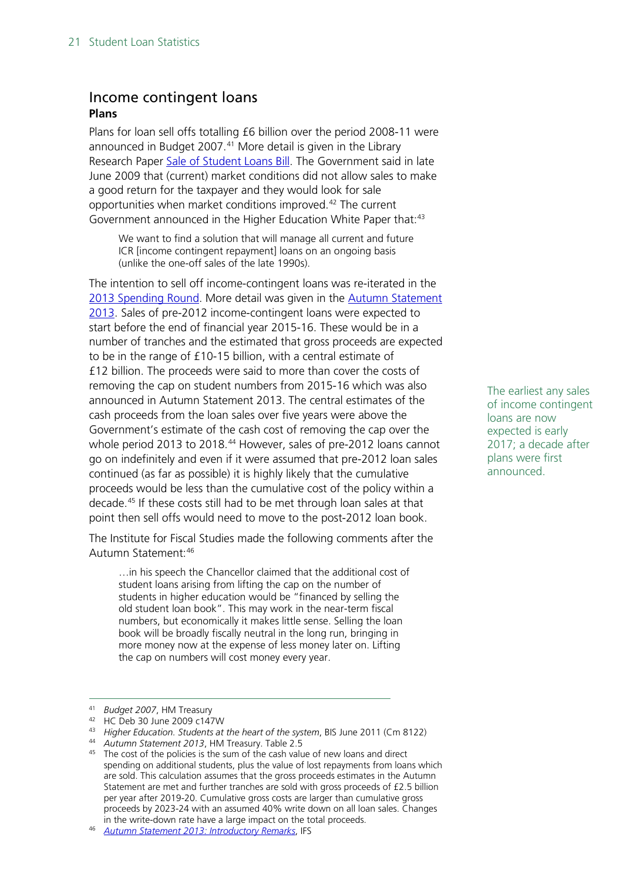### <span id="page-20-0"></span>Income contingent loans **Plans**

Plans for loan sell offs totalling £6 billion over the period 2008-11 were announced in Budget 2007.<sup>[41](#page-20-1)</sup> More detail is given in the Library Research Paper [Sale of Student Loans Bill.](http://hcl1.hclibrary.parliament.uk/rp2007/rp07-078.pdf) The Government said in late June 2009 that (current) market conditions did not allow sales to make a good return for the taxpayer and they would look for sale opportunities when market conditions improved.[42](#page-20-2) The current Government announced in the Higher Education White Paper that:<sup>[43](#page-20-3)</sup>

We want to find a solution that will manage all current and future ICR [income contingent repayment] loans on an ongoing basis (unlike the one-off sales of the late 1990s).

The intention to sell off income-contingent loans was re-iterated in the [2013 Spending Round.](https://www.gov.uk/government/publications/investing-in-britains-future) More detail was given in the [Autumn Statement](https://www.gov.uk/government/uploads/system/uploads/attachment_data/file/263942/35062_Autumn_Statement_2013.pdf)  [2013.](https://www.gov.uk/government/uploads/system/uploads/attachment_data/file/263942/35062_Autumn_Statement_2013.pdf) Sales of pre-2012 income-contingent loans were expected to start before the end of financial year 2015-16. These would be in a number of tranches and the estimated that gross proceeds are expected to be in the range of £10-15 billion, with a central estimate of £12 billion. The proceeds were said to more than cover the costs of removing the cap on student numbers from 2015-16 which was also announced in Autumn Statement 2013. The central estimates of the cash proceeds from the loan sales over five years were above the Government's estimate of the cash cost of removing the cap over the whole period 2013 to 2018.<sup>[44](#page-20-4)</sup> However, sales of pre-2012 loans cannot go on indefinitely and even if it were assumed that pre-2012 loan sales continued (as far as possible) it is highly likely that the cumulative proceeds would be less than the cumulative cost of the policy within a decade.[45](#page-20-5) If these costs still had to be met through loan sales at that point then sell offs would need to move to the post-2012 loan book.

The Institute for Fiscal Studies made the following comments after the Autumn Statement[:46](#page-20-6)

…in his speech the Chancellor claimed that the additional cost of student loans arising from lifting the cap on the number of students in higher education would be "financed by selling the old student loan book". This may work in the near-term fiscal numbers, but economically it makes little sense. Selling the loan book will be broadly fiscally neutral in the long run, bringing in more money now at the expense of less money later on. Lifting the cap on numbers will cost money every year.

The earliest any sales of income contingent loans are now expected is early 2017; a decade after plans were first announced.

<span id="page-20-1"></span> <sup>41</sup> *Budget 2007*, HM Treasury

<span id="page-20-2"></span><sup>42</sup> HC Deb 30 June 2009 c147W

<span id="page-20-3"></span><sup>43</sup> *Higher Education. Students at the heart of the system*, BIS June 2011 (Cm 8122)

<span id="page-20-4"></span><sup>44</sup> *Autumn Statement 2013*, HM Treasury. Table 2.5

<span id="page-20-5"></span><sup>&</sup>lt;sup>45</sup> The cost of the policies is the sum of the cash value of new loans and direct spending on additional students, plus the value of lost repayments from loans which are sold. This calculation assumes that the gross proceeds estimates in the Autumn Statement are met and further tranches are sold with gross proceeds of £2.5 billion per year after 2019-20. Cumulative gross costs are larger than cumulative gross proceeds by 2023-24 with an assumed 40% write down on all loan sales. Changes in the write-down rate have a large impact on the total proceeds.

<span id="page-20-6"></span><sup>46</sup> *[Autumn Statement 2013: Introductory Remarks](http://www.ifs.org.uk/budgets/as2013/openingremarks_AS13.pdf#page=4)*, IFS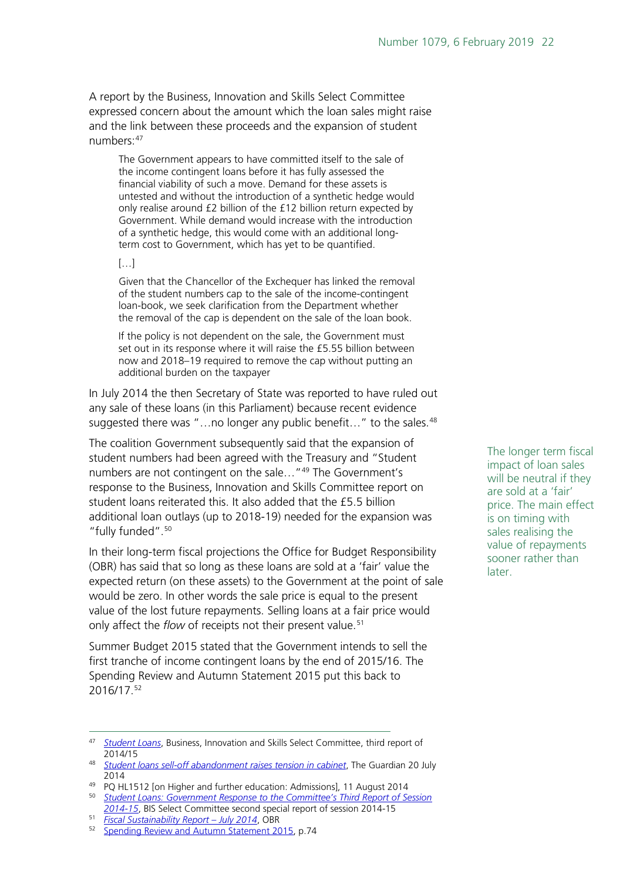A report by the Business, Innovation and Skills Select Committee expressed concern about the amount which the loan sales might raise and the link between these proceeds and the expansion of student numbers:[47](#page-21-0)

The Government appears to have committed itself to the sale of the income contingent loans before it has fully assessed the financial viability of such a move. Demand for these assets is untested and without the introduction of a synthetic hedge would only realise around £2 billion of the £12 billion return expected by Government. While demand would increase with the introduction of a synthetic hedge, this would come with an additional longterm cost to Government, which has yet to be quantified.

#### […]

Given that the Chancellor of the Exchequer has linked the removal of the student numbers cap to the sale of the income-contingent loan-book, we seek clarification from the Department whether the removal of the cap is dependent on the sale of the loan book.

If the policy is not dependent on the sale, the Government must set out in its response where it will raise the £5.55 billion between now and 2018–19 required to remove the cap without putting an additional burden on the taxpayer

In July 2014 the then Secretary of State was reported to have ruled out any sale of these loans (in this Parliament) because recent evidence suggested there was "...no longer any public benefit..." to the sales.<sup>[48](#page-21-1)</sup>

The coalition Government subsequently said that the expansion of student numbers had been agreed with the Treasury and "Student numbers are not contingent on the sale..."<sup>[49](#page-21-2)</sup> The Government's response to the Business, Innovation and Skills Committee report on student loans reiterated this. It also added that the £5.5 billion additional loan outlays (up to 2018-19) needed for the expansion was "fully funded".[50](#page-21-3)

In their long-term fiscal projections the Office for Budget Responsibility (OBR) has said that so long as these loans are sold at a 'fair' value the expected return (on these assets) to the Government at the point of sale would be zero. In other words the sale price is equal to the present value of the lost future repayments. Selling loans at a fair price would only affect the *flow* of receipts not their present value.<sup>[51](#page-21-4)</sup>

Summer Budget 2015 stated that the Government intends to sell the first tranche of income contingent loans by the end of 2015/16. The Spending Review and Autumn Statement 2015 put this back to 2016/17.[52](#page-21-5)

The longer term fiscal impact of loan sales will be neutral if they are sold at a 'fair' price. The main effect is on timing with sales realising the value of repayments sooner rather than later.

<span id="page-21-0"></span> <sup>47</sup> *[Student Loans](http://www.publications.parliament.uk/pa/cm201415/cmselect/cmbis/558/558.pdf)*, Business, Innovation and Skills Select Committee, third report of 2014/15

<span id="page-21-1"></span><sup>48</sup> *[Student loans sell-off abandonment raises tension in cabinet](http://www.theguardian.com/money/2014/jul/20/vince-cable-cabinet-tensions-scrap-student-loan-sell-off)*, The Guardian 20 July 2014<br><sup>49</sup> PQ HL1512 [on Higher and further education: Admissions], 11 August 2014

<span id="page-21-2"></span>

<span id="page-21-3"></span><sup>&</sup>lt;sup>50</sup> Student Loans: Government Response to the Committee's Third Report of Session *[2014-15](http://www.officialpublicationsonline.co.uk/publications/download/9780215078704)*, BIS Select Committee second special report of session 2014-15

<span id="page-21-5"></span><span id="page-21-4"></span><sup>51</sup> *[Fiscal Sustainability Report –](http://budgetresponsibility.org.uk/fiscal-sustainability-report-july-2014/) July 2014*, OBR

<sup>52</sup> [Spending Review and Autumn Statement 2015,](https://www.gov.uk/government/uploads/system/uploads/attachment_data/file/479749/52229_Blue_Book_PU1865_Web_Accessible.pdf) p.74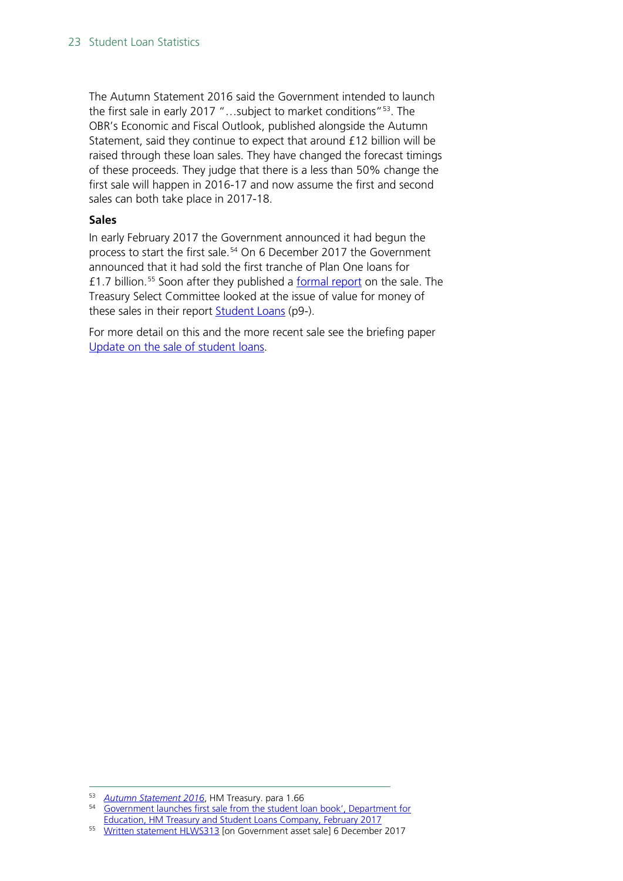The Autumn Statement 2016 said the Government intended to launch the first sale in early 2017 "...subject to market conditions"<sup>[53](#page-22-0)</sup>. The OBR's Economic and Fiscal Outlook, published alongside the Autumn Statement, said they continue to expect that around £12 billion will be raised through these loan sales. They have changed the forecast timings of these proceeds. They judge that there is a less than 50% change the first sale will happen in 2016-17 and now assume the first and second sales can both take place in 2017-18.

#### **Sales**

In early February 2017 the Government announced it had begun the process to start the first sale.<sup>[54](#page-22-1)</sup> On 6 December 2017 the Government announced that it had sold the first tranche of Plan One loans for £1.7 billion.[55](#page-22-2) Soon after they published a [formal report](http://data.parliament.uk/DepositedPapers/Files/DEP2017-0778/ICR_Student_Loan_sale_report_to_Parliament.pdf) on the sale. The Treasury Select Committee looked at the issue of value for money of these sales in their report **Student Loans** (p9-).

For more detail on this and the more recent sale see the briefing paper [Update on the sale of student loans.](https://researchbriefings.parliament.uk/ResearchBriefing/Summary/CBP-8348)

<span id="page-22-0"></span> <sup>53</sup> *[Autumn Statement 2016](https://www.gov.uk/government/publications/autumn-statement-2016-documents)*, HM Treasury. para 1.66

<span id="page-22-1"></span><sup>54</sup> [Government launches first sale from the student loan book', Department for](https://www.gov.uk/government/news/government-launches-first-sale-from-the-student-loan-book)  [Education, HM Treasury and Student Loans Company, February 2017](https://www.gov.uk/government/news/government-launches-first-sale-from-the-student-loan-book)

<span id="page-22-2"></span><sup>55</sup> [Written statement HLWS313](http://www.parliament.uk/business/publications/written-questions-answers-statements/written-statement/Lords/2017-12-06/HLWS313/) [on Government asset sale] 6 December 2017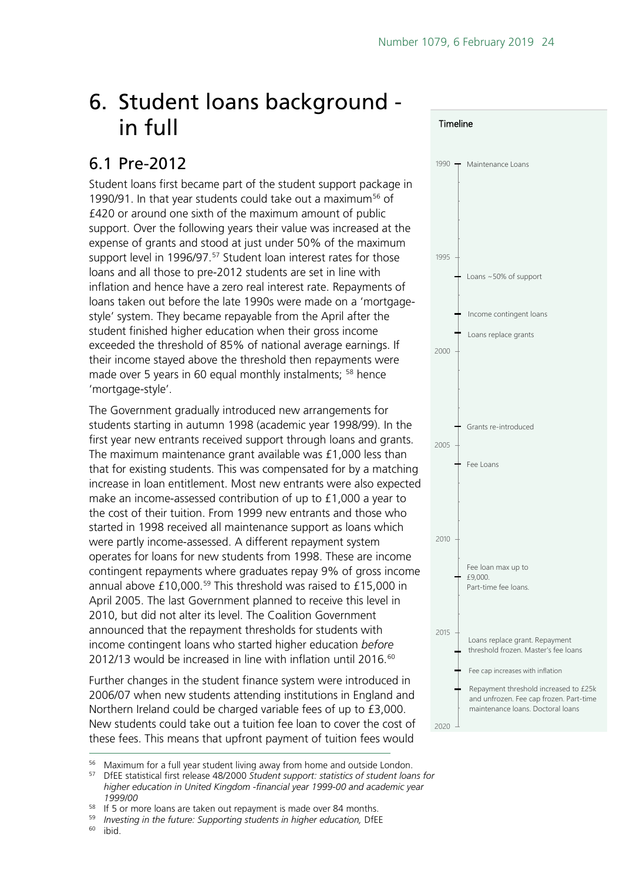**Timeline** 

## <span id="page-23-0"></span>6. Student loans background in full

## <span id="page-23-1"></span>6.1 Pre-2012

Student loans first became part of the student support package in 1990/91. In that year students could take out a maximum<sup>[56](#page-23-2)</sup> of £420 or around one sixth of the maximum amount of public support. Over the following years their value was increased at the expense of grants and stood at just under 50% of the maximum support level in 1996/97.<sup>[57](#page-23-3)</sup> Student loan interest rates for those loans and all those to pre-2012 students are set in line with inflation and hence have a zero real interest rate. Repayments of loans taken out before the late 1990s were made on a 'mortgagestyle' system. They became repayable from the April after the student finished higher education when their gross income exceeded the threshold of 85% of national average earnings. If their income stayed above the threshold then repayments were made over 5 years in 60 equal monthly instalments; <sup>[58](#page-23-4)</sup> hence 'mortgage-style'.

The Government gradually introduced new arrangements for students starting in autumn 1998 (academic year 1998/99). In the first year new entrants received support through loans and grants. The maximum maintenance grant available was £1,000 less than that for existing students. This was compensated for by a matching increase in loan entitlement. Most new entrants were also expected make an income-assessed contribution of up to £1,000 a year to the cost of their tuition. From 1999 new entrants and those who started in 1998 received all maintenance support as loans which were partly income-assessed. A different repayment system operates for loans for new students from 1998. These are income contingent repayments where graduates repay 9% of gross income annual above  $£10,000.^{59}$  $£10,000.^{59}$  $£10,000.^{59}$  This threshold was raised to  $£15,000$  in April 2005. The last Government planned to receive this level in 2010, but did not alter its level. The Coalition Government announced that the repayment thresholds for students with income contingent loans who started higher education *before* 2012/13 would be increased in line with inflation until 2016.<sup>60</sup>

Further changes in the student finance system were introduced in 2006/07 when new students attending institutions in England and Northern Ireland could be charged variable fees of up to £3,000. New students could take out a tuition fee loan to cover the cost of these fees. This means that upfront payment of tuition fees would



2020

<span id="page-23-6"></span><span id="page-23-5"></span>ibid.

<span id="page-23-3"></span><span id="page-23-2"></span><sup>&</sup>lt;sup>56</sup> Maximum for a full year student living away from home and outside London.<br><sup>57</sup> DIFE statistical first release 48/2000 Student support: statistics of student loar

<sup>57</sup> DfEE statistical first release 48/2000 *Student support: statistics of student loans for higher education in United Kingdom -financial year 1999-00 and academic year 1999/00*

<sup>&</sup>lt;sup>58</sup> If 5 or more loans are taken out repayment is made over 84 months.

<span id="page-23-4"></span><sup>&</sup>lt;sup>59</sup> *Investing in the future: Supporting students in higher education, DfEE*<br><sup>60</sup> ibid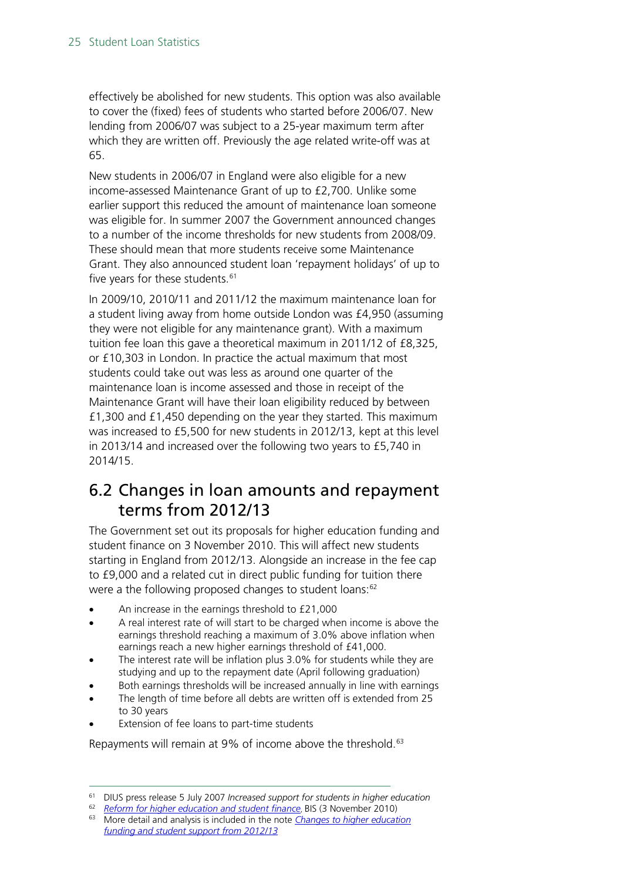effectively be abolished for new students. This option was also available to cover the (fixed) fees of students who started before 2006/07. New lending from 2006/07 was subject to a 25-year maximum term after which they are written off. Previously the age related write-off was at 65.

New students in 2006/07 in England were also eligible for a new income-assessed Maintenance Grant of up to £2,700. Unlike some earlier support this reduced the amount of maintenance loan someone was eligible for. In summer 2007 the Government announced changes to a number of the income thresholds for new students from 2008/09. These should mean that more students receive some Maintenance Grant. They also announced student loan 'repayment holidays' of up to five years for these students. $61$ 

In 2009/10, 2010/11 and 2011/12 the maximum maintenance loan for a student living away from home outside London was £4,950 (assuming they were not eligible for any maintenance grant). With a maximum tuition fee loan this gave a theoretical maximum in 2011/12 of £8,325, or £10,303 in London. In practice the actual maximum that most students could take out was less as around one quarter of the maintenance loan is income assessed and those in receipt of the Maintenance Grant will have their loan eligibility reduced by between £1,300 and £1,450 depending on the year they started. This maximum was increased to £5,500 for new students in 2012/13, kept at this level in 2013/14 and increased over the following two years to £5,740 in 2014/15.

### <span id="page-24-0"></span>6.2 Changes in loan amounts and repayment terms from 2012/13

The Government set out its proposals for higher education funding and student finance on 3 November 2010. This will affect new students starting in England from 2012/13. Alongside an increase in the fee cap to £9,000 and a related cut in direct public funding for tuition there were a the following proposed changes to student loans:<sup>[62](#page-24-2)</sup>

- An increase in the earnings threshold to £21,000
- A real interest rate of will start to be charged when income is above the earnings threshold reaching a maximum of 3.0% above inflation when earnings reach a new higher earnings threshold of £41,000.
- The interest rate will be inflation plus 3.0% for students while they are studying and up to the repayment date (April following graduation)
- Both earnings thresholds will be increased annually in line with earnings
- The length of time before all debts are written off is extended from 25 to 30 years
- Extension of fee loans to part-time students

Repayments will remain at 9% of income above the threshold.<sup>[63](#page-24-3)</sup>

<span id="page-24-1"></span> <sup>61</sup> DIUS press release 5 July 2007 *Increased support for students in higher education*

<sup>62</sup> *[Reform for higher education and student finance](http://www.bis.gov.uk/news/topstories/2010/Nov/student-finance)*, BIS (3 November 2010)

<span id="page-24-3"></span><span id="page-24-2"></span><sup>63</sup> More detail and analysis is included in the note *[Changes to higher education](http://www.parliament.uk/briefingpapers/commons/lib/research/briefings/snsg-05753.pdf)  [funding and student support from 2012/13](http://www.parliament.uk/briefingpapers/commons/lib/research/briefings/snsg-05753.pdf)*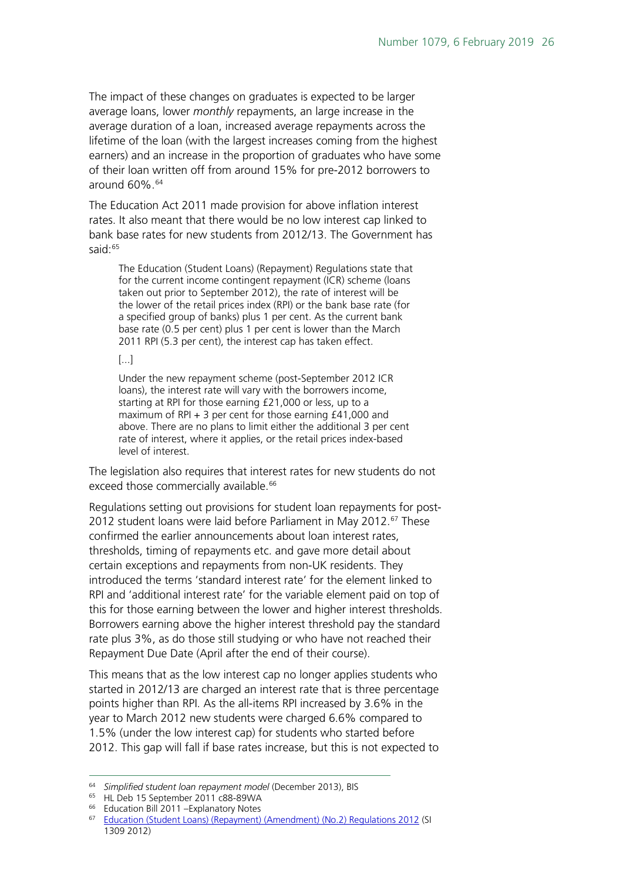The impact of these changes on graduates is expected to be larger average loans, lower *monthly* repayments, an large increase in the average duration of a loan, increased average repayments across the lifetime of the loan (with the largest increases coming from the highest earners) and an increase in the proportion of graduates who have some of their loan written off from around 15% for pre-2012 borrowers to around 60%.<sup>[64](#page-25-0)</sup>

The Education Act 2011 made provision for above inflation interest rates. It also meant that there would be no low interest cap linked to bank base rates for new students from 2012/13. The Government has said:<sup>[65](#page-25-1)</sup>

The Education (Student Loans) (Repayment) Regulations state that for the current income contingent repayment (ICR) scheme (loans taken out prior to September 2012), the rate of interest will be the lower of the retail prices index (RPI) or the bank base rate (for a specified group of banks) plus 1 per cent. As the current bank base rate (0.5 per cent) plus 1 per cent is lower than the March 2011 RPI (5.3 per cent), the interest cap has taken effect.

#### [...]

Under the new repayment scheme (post-September 2012 ICR loans), the interest rate will vary with the borrowers income, starting at RPI for those earning £21,000 or less, up to a maximum of RPI + 3 per cent for those earning £41,000 and above. There are no plans to limit either the additional 3 per cent rate of interest, where it applies, or the retail prices index-based level of interest.

The legislation also requires that interest rates for new students do not exceed those commercially available.<sup>[66](#page-25-2)</sup>

Regulations setting out provisions for student loan repayments for post-2012 student loans were laid before Parliament in May 2012.<sup>[67](#page-25-3)</sup> These confirmed the earlier announcements about loan interest rates, thresholds, timing of repayments etc. and gave more detail about certain exceptions and repayments from non-UK residents. They introduced the terms 'standard interest rate' for the element linked to RPI and 'additional interest rate' for the variable element paid on top of this for those earning between the lower and higher interest thresholds. Borrowers earning above the higher interest threshold pay the standard rate plus 3%, as do those still studying or who have not reached their Repayment Due Date (April after the end of their course).

This means that as the low interest cap no longer applies students who started in 2012/13 are charged an interest rate that is three percentage points higher than RPI. As the all-items RPI increased by 3.6% in the year to March 2012 new students were charged 6.6% compared to 1.5% (under the low interest cap) for students who started before 2012. This gap will fall if base rates increase, but this is not expected to

<span id="page-25-0"></span> <sup>64</sup> *Simplified* <sup>s</sup>*tudent loan repayment model* (December 2013), BIS

<span id="page-25-1"></span><sup>&</sup>lt;sup>65</sup> HL Deb 15 September 2011 c88-89WA

<sup>66</sup> Education Bill 2011 –Explanatory Notes

<span id="page-25-3"></span><span id="page-25-2"></span><sup>67</sup> [Education \(Student Loans\) \(Repayment\) \(Amendment\) \(No.2\) Regulations 2012](http://www.legislation.gov.uk/uksi/2012/1309/made) (SI 1309 2012)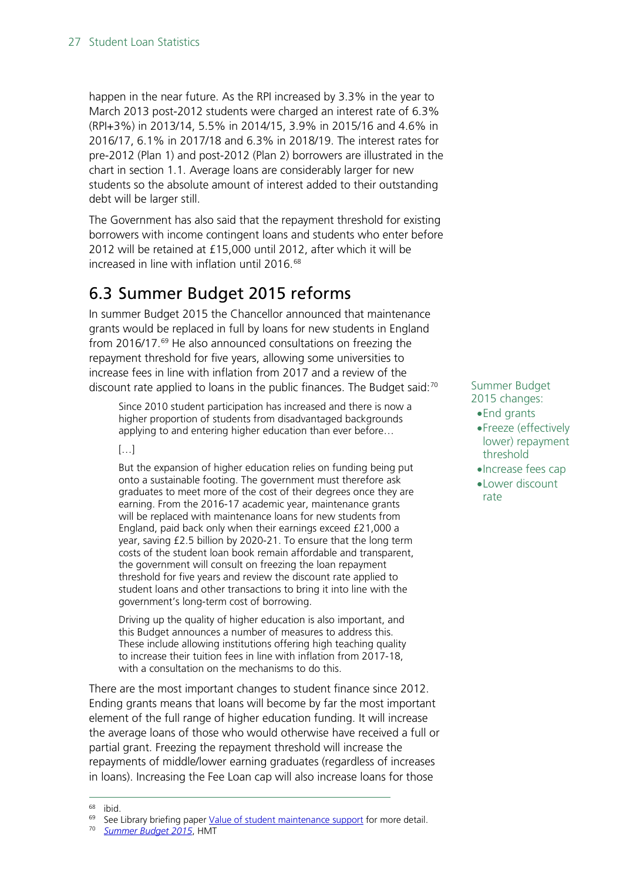happen in the near future. As the RPI increased by 3.3% in the year to March 2013 post-2012 students were charged an interest rate of 6.3% (RPI+3%) in 2013/14, 5.5% in 2014/15, 3.9% in 2015/16 and 4.6% in 2016/17, 6.1% in 2017/18 and 6.3% in 2018/19. The interest rates for pre-2012 (Plan 1) and post-2012 (Plan 2) borrowers are illustrated in the chart in section 1.1. Average loans are considerably larger for new students so the absolute amount of interest added to their outstanding debt will be larger still.

The Government has also said that the repayment threshold for existing borrowers with income contingent loans and students who enter before 2012 will be retained at £15,000 until 2012, after which it will be increased in line with inflation until 2016.<sup>[68](#page-26-1)</sup>

### <span id="page-26-0"></span>6.3 Summer Budget 2015 reforms

In summer Budget 2015 the Chancellor announced that maintenance grants would be replaced in full by loans for new students in England from 2016/17.[69](#page-26-2) He also announced consultations on freezing the repayment threshold for five years, allowing some universities to increase fees in line with inflation from 2017 and a review of the discount rate applied to loans in the public finances. The Budget said: $70$ 

Since 2010 student participation has increased and there is now a higher proportion of students from disadvantaged backgrounds applying to and entering higher education than ever before…

#### […]

But the expansion of higher education relies on funding being put onto a sustainable footing. The government must therefore ask graduates to meet more of the cost of their degrees once they are earning. From the 2016-17 academic year, maintenance grants will be replaced with maintenance loans for new students from England, paid back only when their earnings exceed £21,000 a year, saving £2.5 billion by 2020-21. To ensure that the long term costs of the student loan book remain affordable and transparent, the government will consult on freezing the loan repayment threshold for five years and review the discount rate applied to student loans and other transactions to bring it into line with the government's long-term cost of borrowing.

Driving up the quality of higher education is also important, and this Budget announces a number of measures to address this. These include allowing institutions offering high teaching quality to increase their tuition fees in line with inflation from 2017-18, with a consultation on the mechanisms to do this.

There are the most important changes to student finance since 2012. Ending grants means that loans will become by far the most important element of the full range of higher education funding. It will increase the average loans of those who would otherwise have received a full or partial grant. Freezing the repayment threshold will increase the repayments of middle/lower earning graduates (regardless of increases in loans). Increasing the Fee Loan cap will also increase loans for those

#### Summer Budget 2015 changes: •End grants

- •Freeze (effectively lower) repayment
- threshold
- •Increase fees cap
- •Lower discount rate

<span id="page-26-1"></span> <sup>68</sup> ibid.

<span id="page-26-3"></span><span id="page-26-2"></span><sup>&</sup>lt;sup>69</sup> See Library briefing paper [Value of student maintenance support](http://www.parliament.uk/briefing-papers/SN00916) for more detail.

<sup>70</sup> *[Summer Budget 2015](https://www.gov.uk/government/publications/summer-budget-2015)*, HMT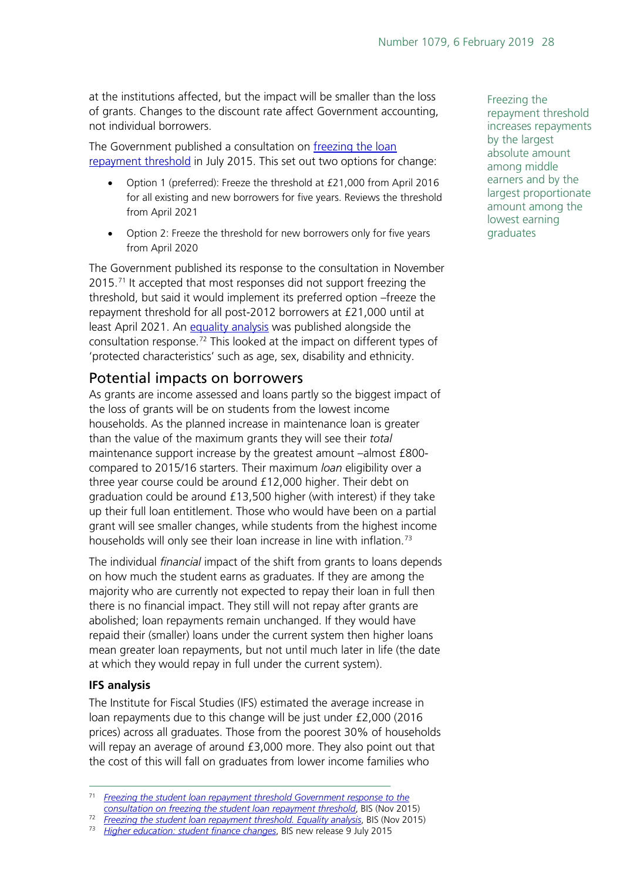at the institutions affected, but the impact will be smaller than the loss of grants. Changes to the discount rate affect Government accounting, not individual borrowers.

The Government published a consultation on [freezing the loan](https://www.gov.uk/government/consultations/freezing-the-student-loan-repayment-threshold)  [repayment threshold](https://www.gov.uk/government/consultations/freezing-the-student-loan-repayment-threshold) in July 2015. This set out two options for change:

- Option 1 (preferred): Freeze the threshold at £21,000 from April 2016 for all existing and new borrowers for five years. Reviews the threshold from April 2021
- Option 2: Freeze the threshold for new borrowers only for five years from April 2020

The Government published its response to the consultation in November 2015.<sup>[71](#page-27-1)</sup> It accepted that most responses did not support freezing the threshold, but said it would implement its preferred option –freeze the repayment threshold for all post-2012 borrowers at £21,000 until at least April 2021. An [equality analysis](https://www.gov.uk/government/uploads/system/uploads/attachment_data/file/479559/bis-15-635-freezing-student-loan-repayment-threshold-equality-analysis.pdf) was published alongside the consultation response.<sup>[72](#page-27-2)</sup> This looked at the impact on different types of 'protected characteristics' such as age, sex, disability and ethnicity.

### <span id="page-27-0"></span>Potential impacts on borrowers

As grants are income assessed and loans partly so the biggest impact of the loss of grants will be on students from the lowest income households. As the planned increase in maintenance loan is greater than the value of the maximum grants they will see their *total* maintenance support increase by the greatest amount –almost £800 compared to 2015/16 starters. Their maximum *loan* eligibility over a three year course could be around £12,000 higher. Their debt on graduation could be around £13,500 higher (with interest) if they take up their full loan entitlement. Those who would have been on a partial grant will see smaller changes, while students from the highest income households will only see their loan increase in line with inflation.<sup>[73](#page-27-3)</sup>

The individual *financial* impact of the shift from grants to loans depends on how much the student earns as graduates. If they are among the majority who are currently not expected to repay their loan in full then there is no financial impact. They still will not repay after grants are abolished; loan repayments remain unchanged. If they would have repaid their (smaller) loans under the current system then higher loans mean greater loan repayments, but not until much later in life (the date at which they would repay in full under the current system).

#### **IFS analysis**

The Institute for Fiscal Studies (IFS) estimated the average increase in loan repayments due to this change will be just under £2,000 (2016 prices) across all graduates. Those from the poorest 30% of households will repay an average of around £3,000 more. They also point out that the cost of this will fall on graduates from lower income families who

Freezing the repayment threshold increases repayments by the largest absolute amount among middle earners and by the largest proportionate amount among the lowest earning graduates

<span id="page-27-1"></span> <sup>71</sup> *[Freezing the student loan repayment threshold Government response to the](https://www.gov.uk/government/uploads/system/uploads/attachment_data/file/479539/bis-15-626-freezing-student-loan-repayment-threshold-government-response.pdf)* 

<span id="page-27-2"></span>*[consultation on freezing the student loan repayment threshold](https://www.gov.uk/government/uploads/system/uploads/attachment_data/file/479539/bis-15-626-freezing-student-loan-repayment-threshold-government-response.pdf)*, BIS (Nov 2015) <sup>72</sup> *[Freezing the student loan repayment threshold. Equality analysis](https://www.gov.uk/government/uploads/system/uploads/attachment_data/file/479559/bis-15-635-freezing-student-loan-repayment-threshold-equality-analysis.pdf)*, BIS (Nov 2015)

<span id="page-27-3"></span><sup>73</sup> *[Higher education: student finance changes](https://www.gov.uk/government/news/higher-education-student-finance-changes)*, BIS new release 9 July 2015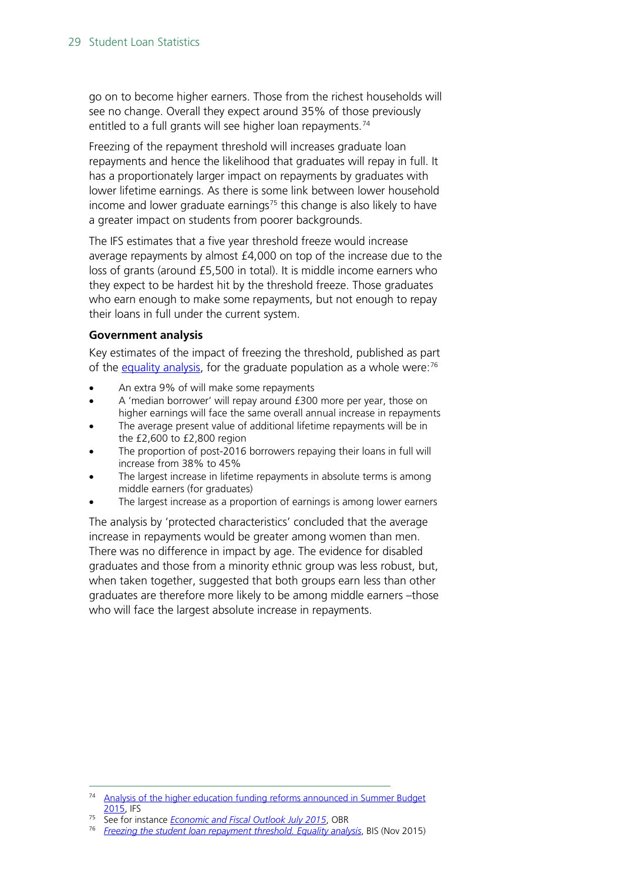go on to become higher earners. Those from the richest households will see no change. Overall they expect around 35% of those previously entitled to a full grants will see higher loan repayments.<sup>[74](#page-28-0)</sup>

Freezing of the repayment threshold will increases graduate loan repayments and hence the likelihood that graduates will repay in full. It has a proportionately larger impact on repayments by graduates with lower lifetime earnings. As there is some link between lower household income and lower graduate earnings<sup>[75](#page-28-1)</sup> this change is also likely to have a greater impact on students from poorer backgrounds.

The IFS estimates that a five year threshold freeze would increase average repayments by almost £4,000 on top of the increase due to the loss of grants (around £5,500 in total). It is middle income earners who they expect to be hardest hit by the threshold freeze. Those graduates who earn enough to make some repayments, but not enough to repay their loans in full under the current system.

#### **Government analysis**

Key estimates of the impact of freezing the threshold, published as part of the [equality analysis,](https://www.gov.uk/government/uploads/system/uploads/attachment_data/file/479559/bis-15-635-freezing-student-loan-repayment-threshold-equality-analysis.pdf) for the graduate population as a whole were:<sup>76</sup>

- An extra 9% of will make some repayments
- A 'median borrower' will repay around £300 more per year, those on higher earnings will face the same overall annual increase in repayments
- The average present value of additional lifetime repayments will be in the £2,600 to £2,800 region
- The proportion of post-2016 borrowers repaying their loans in full will increase from 38% to 45%
- The largest increase in lifetime repayments in absolute terms is among middle earners (for graduates)
- The largest increase as a proportion of earnings is among lower earners

The analysis by 'protected characteristics' concluded that the average increase in repayments would be greater among women than men. There was no difference in impact by age. The evidence for disabled graduates and those from a minority ethnic group was less robust, but, when taken together, suggested that both groups earn less than other graduates are therefore more likely to be among middle earners –those who will face the largest absolute increase in repayments.

<span id="page-28-0"></span>Analysis of the higher education funding reforms announced in Summer Budget [2015,](http://www.ifs.org.uk/publications/7904) IFS

<span id="page-28-2"></span><span id="page-28-1"></span><sup>75</sup> See for instance *[Economic and Fiscal Outlook July 2015](http://cdn.budgetresponsibility.independent.gov.uk/July-2015-EFO-234224.pdf)*, OBR

<sup>76</sup> *[Freezing the student loan repayment threshold. Equality analysis](https://www.gov.uk/government/uploads/system/uploads/attachment_data/file/479559/bis-15-635-freezing-student-loan-repayment-threshold-equality-analysis.pdf)*, BIS (Nov 2015)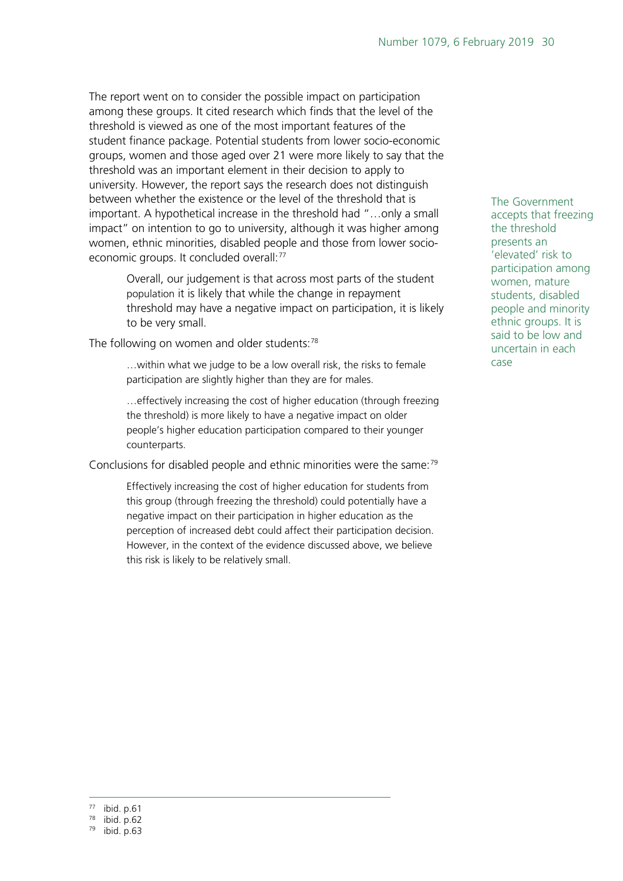The report went on to consider the possible impact on participation among these groups. It cited research which finds that the level of the threshold is viewed as one of the most important features of the student finance package. Potential students from lower socio-economic groups, women and those aged over 21 were more likely to say that the threshold was an important element in their decision to apply to university. However, the report says the research does not distinguish between whether the existence or the level of the threshold that is important. A hypothetical increase in the threshold had "…only a small impact" on intention to go to university, although it was higher among women, ethnic minorities, disabled people and those from lower socio-economic groups. It concluded overall:<sup>[77](#page-29-0)</sup>

> Overall, our judgement is that across most parts of the student population it is likely that while the change in repayment threshold may have a negative impact on participation, it is likely to be very small.

The following on women and older students:<sup>[78](#page-29-1)</sup>

…within what we judge to be a low overall risk, the risks to female participation are slightly higher than they are for males.

…effectively increasing the cost of higher education (through freezing the threshold) is more likely to have a negative impact on older people's higher education participation compared to their younger counterparts.

Conclusions for disabled people and ethnic minorities were the same:<sup>[79](#page-29-2)</sup>

Effectively increasing the cost of higher education for students from this group (through freezing the threshold) could potentially have a negative impact on their participation in higher education as the perception of increased debt could affect their participation decision. However, in the context of the evidence discussed above, we believe this risk is likely to be relatively small.

The Government accepts that freezing the threshold presents an 'elevated' risk to participation among women, mature students, disabled people and minority ethnic groups. It is said to be low and uncertain in each case

<span id="page-29-0"></span> <sup>77</sup> ibid. p.61

<span id="page-29-1"></span><sup>78</sup> ibid. p.62

<span id="page-29-2"></span><sup>79</sup> ibid. p.63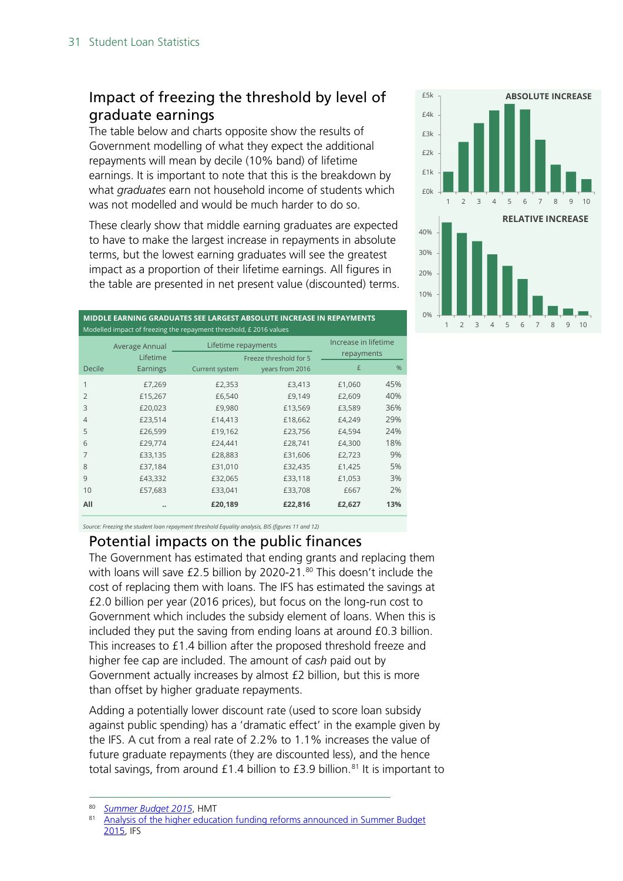### <span id="page-30-0"></span>Impact of freezing the threshold by level of graduate earnings

The table below and charts opposite show the results of Government modelling of what they expect the additional repayments will mean by decile (10% band) of lifetime earnings. It is important to note that this is the breakdown by what *graduates* earn not household income of students which was not modelled and would be much harder to do so.

These clearly show that middle earning graduates are expected to have to make the largest increase in repayments in absolute terms, but the lowest earning graduates will see the greatest impact as a proportion of their lifetime earnings. All figures in the table are presented in net present value (discounted) terms.



| MIDDLE EARNING GRADUATES SEE LARGEST ABSOLUTE INCREASE IN REPAYMENTS<br>Modelled impact of freezing the repayment threshold, £ 2016 values |                            |                     |                                           |        |     |  |  |  |  |  |  |
|--------------------------------------------------------------------------------------------------------------------------------------------|----------------------------|---------------------|-------------------------------------------|--------|-----|--|--|--|--|--|--|
|                                                                                                                                            | Average Annual<br>Lifetime | Lifetime repayments | Increase in lifetime<br>repayments        |        |     |  |  |  |  |  |  |
| Decile                                                                                                                                     | Earnings                   | Current system      | Freeze threshold for 5<br>years from 2016 | £      | %   |  |  |  |  |  |  |
| 1                                                                                                                                          | £7,269                     | £2,353              | £3,413                                    | £1,060 | 45% |  |  |  |  |  |  |
| $\overline{2}$                                                                                                                             | £15,267                    | £6,540              | £9,149                                    | £2,609 | 40% |  |  |  |  |  |  |
| 3                                                                                                                                          | £20,023                    | £9,980              | £13,569                                   | £3,589 | 36% |  |  |  |  |  |  |
| $\overline{4}$                                                                                                                             | £23,514                    | £14,413             | £18,662                                   | £4,249 | 29% |  |  |  |  |  |  |
| 5                                                                                                                                          | £26,599                    | £19,162             | £23,756                                   | £4,594 | 24% |  |  |  |  |  |  |
| 6                                                                                                                                          | £29,774                    | £24,441             | £28,741                                   | £4,300 | 18% |  |  |  |  |  |  |
| 7                                                                                                                                          | £33,135                    | £28,883             | £31,606                                   | £2,723 | 9%  |  |  |  |  |  |  |
| 8                                                                                                                                          | £37,184                    | £31,010             | £32,435                                   | £1,425 | 5%  |  |  |  |  |  |  |
| 9                                                                                                                                          | £43,332                    | £32,065             | £33,118                                   | £1,053 | 3%  |  |  |  |  |  |  |
| 10                                                                                                                                         | £57,683                    | £33,041             | £33,708                                   | £667   | 2%  |  |  |  |  |  |  |
| All                                                                                                                                        |                            | £20,189             | £22,816                                   | £2,627 | 13% |  |  |  |  |  |  |

*Source: Freezing the student loan repayment threshold Equality analysis, BIS (figures 11 and 12)*

#### <span id="page-30-1"></span>Potential impacts on the public finances

The Government has estimated that ending grants and replacing them with loans will save £2.5 billion by 2020-21.<sup>[80](#page-30-2)</sup> This doesn't include the cost of replacing them with loans. The IFS has estimated the savings at £2.0 billion per year (2016 prices), but focus on the long-run cost to Government which includes the subsidy element of loans. When this is included they put the saving from ending loans at around £0.3 billion. This increases to £1.4 billion after the proposed threshold freeze and higher fee cap are included. The amount of *cash* paid out by Government actually increases by almost £2 billion, but this is more than offset by higher graduate repayments.

Adding a potentially lower discount rate (used to score loan subsidy against public spending) has a 'dramatic effect' in the example given by the IFS. A cut from a real rate of 2.2% to 1.1% increases the value of future graduate repayments (they are discounted less), and the hence total savings, from around  $£1.4$  billion to  $£3.9$  billion.<sup>[81](#page-30-3)</sup> It is important to

<span id="page-30-2"></span><sup>&</sup>lt;sup>80</sup> *[Summer Budget 2015](https://www.gov.uk/government/publications/summer-budget-2015)*, HMT

<span id="page-30-3"></span>Analysis of the higher education funding reforms announced in Summer Budget [2015,](http://www.ifs.org.uk/publications/7904) IFS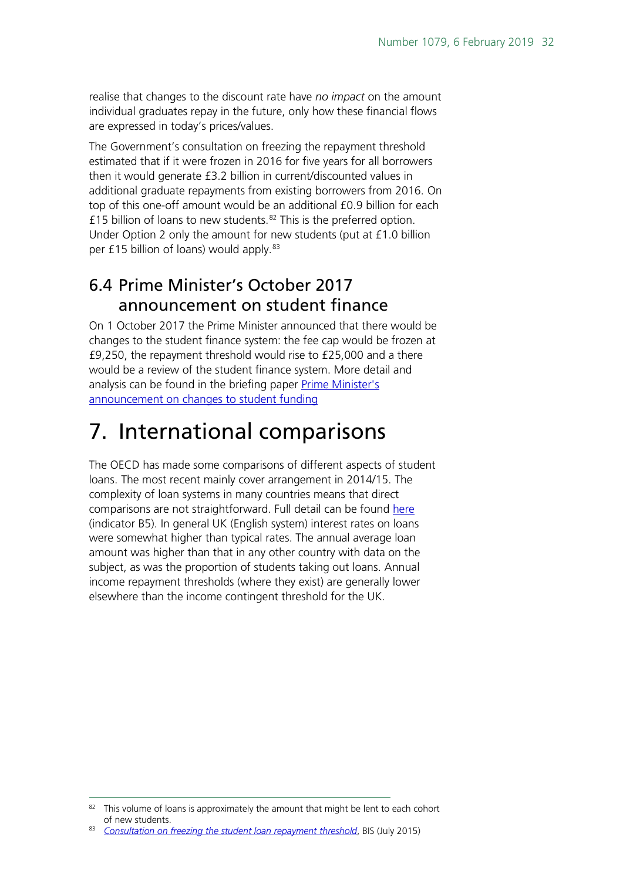realise that changes to the discount rate have *no impact* on the amount individual graduates repay in the future, only how these financial flows are expressed in today's prices/values.

The Government's consultation on freezing the repayment threshold estimated that if it were frozen in 2016 for five years for all borrowers then it would generate £3.2 billion in current/discounted values in additional graduate repayments from existing borrowers from 2016. On top of this one-off amount would be an additional £0.9 billion for each £15 billion of loans to new students.<sup>[82](#page-31-2)</sup> This is the preferred option. Under Option 2 only the amount for new students (put at £1.0 billion per £15 billion of loans) would apply.<sup>[83](#page-31-3)</sup>

### <span id="page-31-1"></span>6.4 Prime Minister's October 2017 announcement on student finance

On 1 October 2017 the Prime Minister announced that there would be changes to the student finance system: the fee cap would be frozen at £9,250, the repayment threshold would rise to £25,000 and a there would be a review of the student finance system. More detail and analysis can be found in the briefing paper [Prime Minister's](http://researchbriefings.parliament.uk/ResearchBriefing/Summary/CBP-8097)  [announcement on changes to student funding](http://researchbriefings.parliament.uk/ResearchBriefing/Summary/CBP-8097)

## <span id="page-31-0"></span>7. International comparisons

The OECD has made some comparisons of different aspects of student loans. The most recent mainly cover arrangement in 2014/15. The complexity of loan systems in many countries means that direct comparisons are not straightforward. Full detail can be found [here](http://www.oecd.org/education/skills-beyond-school/education-at-a-glance-2016-indicators.htm) (indicator B5). In general UK (English system) interest rates on loans were somewhat higher than typical rates. The annual average loan amount was higher than that in any other country with data on the subject, as was the proportion of students taking out loans. Annual income repayment thresholds (where they exist) are generally lower elsewhere than the income contingent threshold for the UK.

<span id="page-31-2"></span><sup>82</sup> This volume of loans is approximately the amount that might be lent to each cohort of new students.

<span id="page-31-3"></span><sup>83</sup> *[Consultation on freezing the student loan repayment threshold](https://www.gov.uk/government/uploads/system/uploads/attachment_data/file/447565/BIS-15-445-student-loan-repayment-threshold-consultation.pdf)*, BIS (July 2015)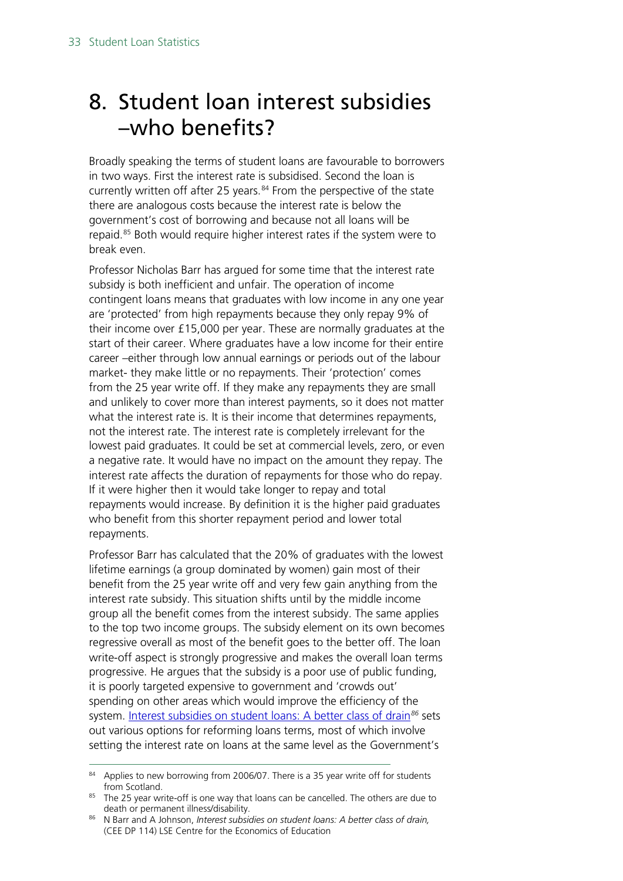## <span id="page-32-0"></span>8. Student loan interest subsidies –who benefits?

Broadly speaking the terms of student loans are favourable to borrowers in two ways. First the interest rate is subsidised. Second the loan is currently written off after 25 years.<sup>[84](#page-32-1)</sup> From the perspective of the state there are analogous costs because the interest rate is below the government's cost of borrowing and because not all loans will be repaid.<sup>[85](#page-32-2)</sup> Both would require higher interest rates if the system were to break even.

Professor Nicholas Barr has argued for some time that the interest rate subsidy is both inefficient and unfair. The operation of income contingent loans means that graduates with low income in any one year are 'protected' from high repayments because they only repay 9% of their income over £15,000 per year. These are normally graduates at the start of their career. Where graduates have a low income for their entire career –either through low annual earnings or periods out of the labour market- they make little or no repayments. Their 'protection' comes from the 25 year write off. If they make any repayments they are small and unlikely to cover more than interest payments, so it does not matter what the interest rate is. It is their income that determines repayments, not the interest rate. The interest rate is completely irrelevant for the lowest paid graduates. It could be set at commercial levels, zero, or even a negative rate. It would have no impact on the amount they repay. The interest rate affects the duration of repayments for those who do repay. If it were higher then it would take longer to repay and total repayments would increase. By definition it is the higher paid graduates who benefit from this shorter repayment period and lower total repayments.

Professor Barr has calculated that the 20% of graduates with the lowest lifetime earnings (a group dominated by women) gain most of their benefit from the 25 year write off and very few gain anything from the interest rate subsidy. This situation shifts until by the middle income group all the benefit comes from the interest subsidy. The same applies to the top two income groups. The subsidy element on its own becomes regressive overall as most of the benefit goes to the better off. The loan write-off aspect is strongly progressive and makes the overall loan terms progressive. He argues that the subsidy is a poor use of public funding, it is poorly targeted expensive to government and 'crowds out' spending on other areas which would improve the efficiency of the system. [Interest subsidies on student loans: A better class of drain](http://eprints.lse.ac.uk/28287/1/ceedp114.pdf)*[86](#page-32-3)* sets out various options for reforming loans terms, most of which involve setting the interest rate on loans at the same level as the Government's

<span id="page-32-1"></span><sup>84</sup> Applies to new borrowing from 2006/07. There is a 35 year write off for students from Scotland.

<span id="page-32-2"></span><sup>85</sup> The 25 year write-off is one way that loans can be cancelled. The others are due to death or permanent illness/disability.

<span id="page-32-3"></span><sup>86</sup> N Barr and A Johnson, *Interest subsidies on student loans: A better class of drain,* (CEE DP 114) LSE Centre for the Economics of Education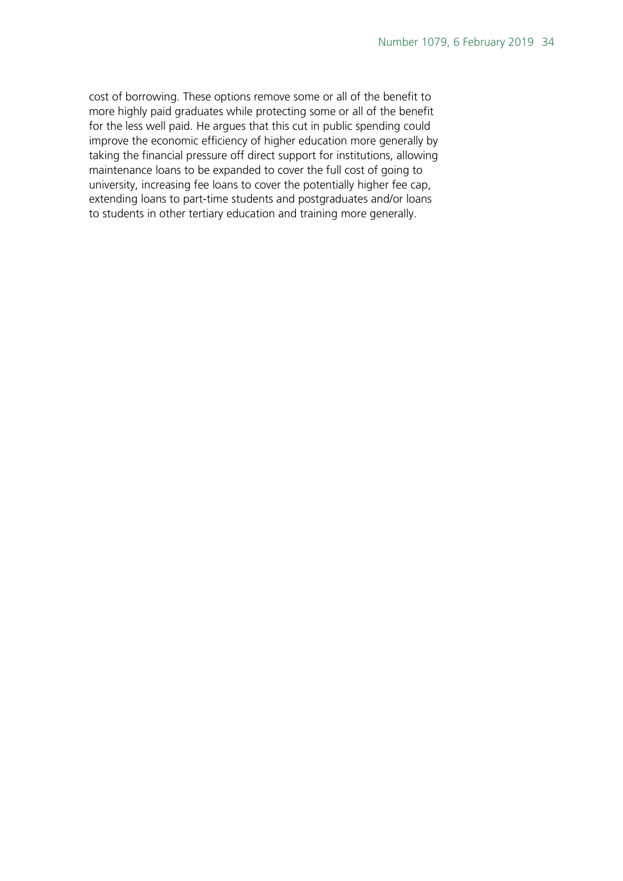cost of borrowing. These options remove some or all of the benefit to more highly paid graduates while protecting some or all of the benefit for the less well paid. He argues that this cut in public spending could improve the economic efficiency of higher education more generally by taking the financial pressure off direct support for institutions, allowing maintenance loans to be expanded to cover the full cost of going to university, increasing fee loans to cover the potentially higher fee cap, extending loans to part-time students and postgraduates and/or loans to students in other tertiary education and training more generally.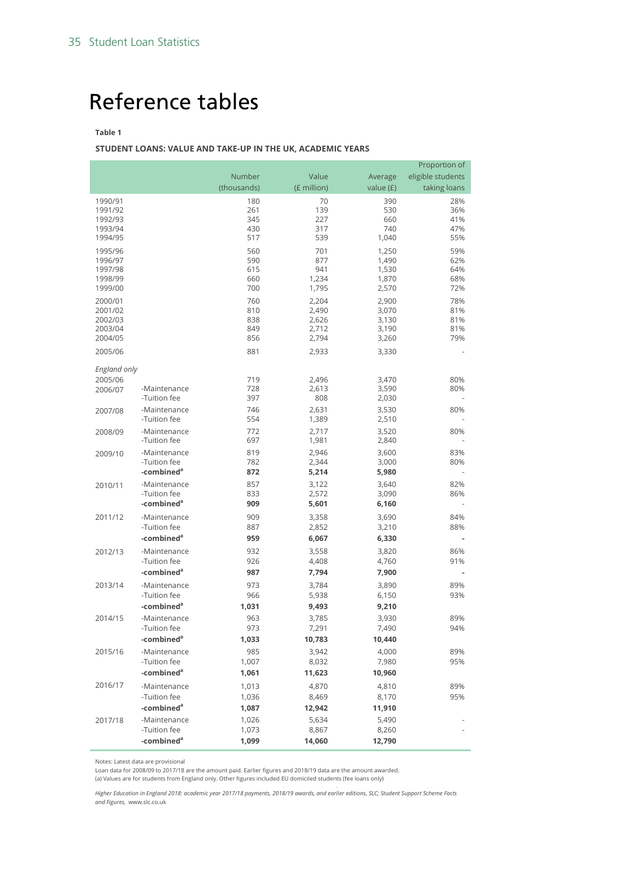## <span id="page-34-0"></span>Reference tables

#### **Table 1**

#### **STUDENT LOANS: VALUE AND TAKE-UP IN THE UK, ACADEMIC YEARS**

| Number<br>Value<br>eligible students<br>Average                                             |              |
|---------------------------------------------------------------------------------------------|--------------|
|                                                                                             |              |
| (thousands)<br>(£ million)<br>value (£)                                                     | taking loans |
| 70<br>1990/91<br>180<br>390                                                                 | 28%          |
| 261<br>139<br>530<br>1991/92                                                                | 36%          |
| 1992/93<br>345<br>227<br>660                                                                | 41%          |
| 430<br>317<br>740<br>1993/94<br>517<br>539<br>1,040<br>1994/95                              | 47%<br>55%   |
|                                                                                             |              |
| 560<br>701<br>1,250<br>1995/96<br>590<br>877<br>1,490<br>1996/97                            | 59%<br>62%   |
| 941<br>1,530<br>1997/98<br>615                                                              | 64%          |
| 660<br>1998/99<br>1,234<br>1,870                                                            | 68%          |
| 700<br>2,570<br>1999/00<br>1,795                                                            | 72%          |
| 760<br>2,204<br>2,900<br>2000/01                                                            | 78%          |
| 810<br>3,070<br>2001/02<br>2,490                                                            | 81%          |
| 2002/03<br>838<br>2,626<br>3,130                                                            | 81%          |
| 849<br>2003/04<br>2,712<br>3,190<br>856<br>2004/05<br>2,794<br>3,260                        | 81%<br>79%   |
| 2005/06<br>881<br>3,330                                                                     |              |
| 2,933                                                                                       |              |
| England only                                                                                |              |
| 2005/06<br>719<br>3,470<br>2,496                                                            | 80%          |
| 728<br>3,590<br>2,613<br>-Maintenance<br>2006/07                                            | 80%          |
| -Tuition fee<br>397<br>808<br>2,030                                                         |              |
| 746<br>3,530<br>-Maintenance<br>2,631<br>2007/08<br>-Tuition fee<br>554<br>1,389<br>2,510   | 80%          |
| 772                                                                                         |              |
| 2,717<br>3,520<br>-Maintenance<br>2008/09<br>-Tuition fee<br>697<br>1,981<br>2,840          | 80%          |
| 819<br>2,946<br>3,600<br>-Maintenance<br>2009/10                                            | 83%          |
| -Tuition fee<br>782<br>2,344<br>3,000                                                       | 80%          |
| -combined <sup>a</sup><br>872<br>5,214<br>5,980                                             |              |
| 857<br>3,122<br>3,640<br>-Maintenance<br>2010/11                                            | 82%          |
| -Tuition fee<br>833<br>2,572<br>3,090                                                       | 86%          |
| -combined <sup>a</sup><br>909<br>5,601<br>6,160                                             |              |
| 3,690<br>2011/12<br>-Maintenance<br>909<br>3,358                                            | 84%          |
| -Tuition fee<br>887<br>2,852<br>3,210                                                       | 88%          |
| -combined <sup>a</sup><br>959<br>6,067<br>6,330                                             |              |
| 3,558<br>2012/13<br>-Maintenance<br>932<br>3,820                                            | 86%          |
| -Tuition fee<br>926<br>4,408<br>4,760                                                       | 91%          |
| -combined <sup>a</sup><br>987<br>7,794<br>7,900                                             |              |
| -Maintenance<br>973<br>3,784<br>3,890<br>2013/14                                            | 89%          |
| -Tuition fee<br>966<br>5,938<br>6,150                                                       | 93%          |
| -combined <sup>a</sup><br>1,031<br>9,493<br>9,210                                           |              |
| 963<br>3,785<br>3,930<br>2014/15<br>-Maintenance                                            | 89%          |
| -Tuition fee<br>973<br>7,291<br>7,490<br>-combined <sup>a</sup>                             | 94%          |
| 1,033<br>10,783<br>10,440                                                                   |              |
| -Maintenance<br>985<br>3,942<br>4,000<br>2015/16<br>-Tuition fee<br>1,007<br>7,980<br>8,032 | 89%<br>95%   |
| -combined <sup>a</sup><br>1,061<br>11,623<br>10,960                                         |              |
| 2016/17                                                                                     |              |
| 4,870<br>4,810<br>-Maintenance<br>1,013<br>-Tuition fee<br>1,036<br>8,469<br>8,170          | 89%<br>95%   |
| -combined <sup>a</sup><br>1,087<br>12,942<br>11,910                                         |              |
| -Maintenance<br>1,026<br>5,634<br>5,490<br>2017/18                                          |              |
| -Tuition fee<br>1,073<br>8,867<br>8,260                                                     |              |
| -combined <sup>a</sup><br>1,099<br>14,060<br>12,790                                         |              |

Notes: Latest data are provisional

Loan data for 2008/09 to 2017/18 are the amount paid. Earlier figures and 2018/19 data are the amount awarded.<br>(a) Values are for students from England only. Other figures included EU domiciled students (fee loans only)

*Higher Education in England 2018: academic year 2017/18 payments, 2018/19 awards, and earlier editions, SLC; Student Support Scheme Facts and Figures,* www.slc.co.uk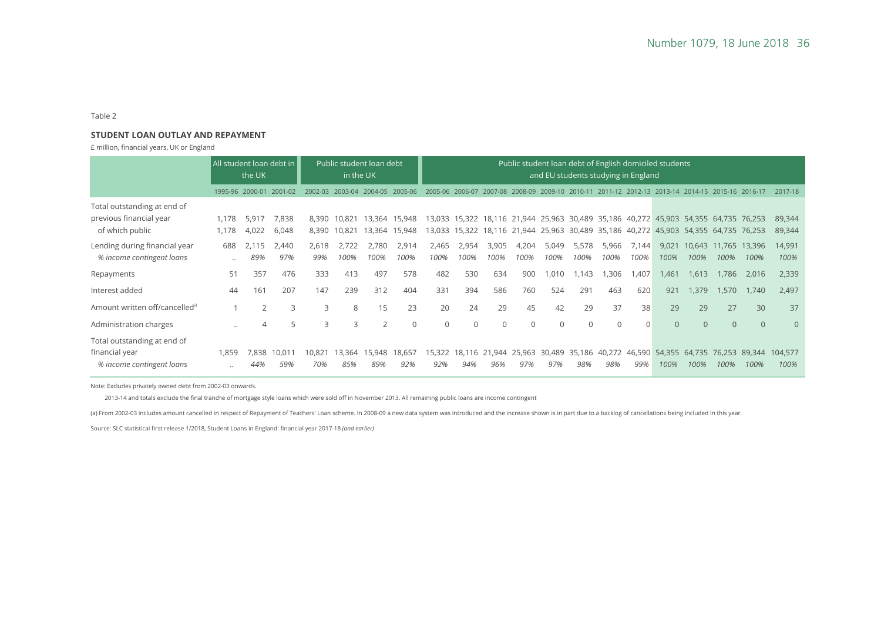#### Table 2

#### **STUDENT LOAN OUTLAY AND REPAYMENT**

£ million, financial years, UK or England

|                                                                            | All student loan debt in<br>the UK |                 | Public student loan debt<br>in the UK |                |                  | Public student loan debt of English domiciled students<br>and EU students studying in England |                  |                  |               |               |               |                      |                      |                 |               |                                                                          |                  |                         |                |                  |
|----------------------------------------------------------------------------|------------------------------------|-----------------|---------------------------------------|----------------|------------------|-----------------------------------------------------------------------------------------------|------------------|------------------|---------------|---------------|---------------|----------------------|----------------------|-----------------|---------------|--------------------------------------------------------------------------|------------------|-------------------------|----------------|------------------|
|                                                                            |                                    | 1995-96 2000-01 | 2001-02                               | 2002-03        | 2003-04          | $2004 - 05$                                                                                   | 2005-06          |                  |               | 2007-08       | 2008-09       |                      |                      | 201<br>$1 - 12$ | 2012-13       | 2013-14                                                                  | 2014-15          | 2015-16                 | 2016-17        | 2017-18          |
| Total outstanding at end of<br>previous financial year<br>of which public  | 1,178<br>1,178                     | 5,917<br>4,022  | 7,838<br>6,048                        | 8,390<br>8,390 | 10.821<br>10.821 | 13.364<br>13.364                                                                              | 15,948<br>15,948 | 13,033<br>13,033 | 15,322        |               | 18,116 21,944 | 25,963 30,489 35,186 |                      |                 |               | 15,322 18,116 21,944 25,963 30,489 35,186 40,272 45,903<br>40,272 45,903 | 54,355<br>54,355 | 64,735 76,253<br>64,735 | 76,253         | 89,344<br>89,344 |
| Lending during financial year<br>% income contingent loans                 | 688<br>$\cdot \cdot$               | 2,115<br>89%    | 2,440<br>97%                          | 2,618<br>99%   | 2,722<br>100%    | 2.780<br>100%                                                                                 | 2,914<br>100%    | 2,465<br>100%    | 2,954<br>100% | 3,905<br>100% | 4,204<br>100% | 5,049<br>100%        | 5,578<br>100%        | 5,966<br>100%   | 7,144<br>100% | 9,021<br>100%                                                            | 10,643<br>100%   | 11,765<br>100%          | 13,396<br>100% | 14,991<br>100%   |
| Repayments                                                                 | 51                                 | 357             | 476                                   | 333            | 413              | 497                                                                                           | 578              | 482              | 530           | 634           | 900           | 1.010                | .143                 | ,306            | .407          | 1.461                                                                    | 1,613            | 1.786                   | 2,016          | 2,339            |
| Interest added                                                             | 44                                 | 161             | 207                                   | 147            | 239              | 312                                                                                           | 404              | 331              | 394           | 586           | 760           | 524                  | 291                  | 463             | 620           | 921                                                                      | 1,379            | 1,570                   | 1,740          | 2,497            |
| Amount written off/cancelled <sup>a</sup>                                  |                                    | 2               | 3                                     | 3              | 8                | 15                                                                                            | 23               | 20               | 24            | 29            | 45            | 42                   | 29                   | 37              | 38            | 29                                                                       | 29               | 27                      | 30             | 37               |
| Administration charges                                                     | $\ddots$                           | $\overline{4}$  | 5                                     | 3              | 3                | $\overline{2}$                                                                                | $\mathbf{0}$     | 0                | 0             | $\mathbf 0$   | $\mathbf 0$   | $\mathbf 0$          | $\mathbf 0$          | $\Omega$        | $\Omega$      | $\overline{0}$                                                           | $\overline{0}$   | $\overline{0}$          | $\overline{0}$ | $\mathbf{0}$     |
| Total outstanding at end of<br>financial year<br>% income contingent loans | 1,859<br>                          | 7,838<br>44%    | 10,01'<br>59%                         | 10,821<br>70%  | 13,364<br>85%    | 15,948<br>89%                                                                                 | 18,657<br>92%    | 15,322<br>92%    | 18.116<br>94% | 21,944<br>96% | 25,963<br>97% | 97%                  | 30,489 35,186<br>98% | 40,272<br>98%   | 46.590<br>99% | 54,355<br>100%                                                           | 64,735<br>100%   | 76.253<br>100%          | 89.344<br>100% | 104,577<br>100%  |

Note: Excludes privately owned debt from 2002-03 onwards.

2013-14 and totals exclude the final tranche of mortgage style loans which were sold off in November 2013. All remaining public loans are income contingent

(a) From 2002-03 includes amount cancelled in respect of Repayment of Teachers' Loan scheme. In 2008-09 a new data system was introduced and the increase shown is in part due to a backlog of cancellations being included in

Source: SLC statistical first release 1/2018, Student Loans in England: financial year 2017-18 *(and earlier)*